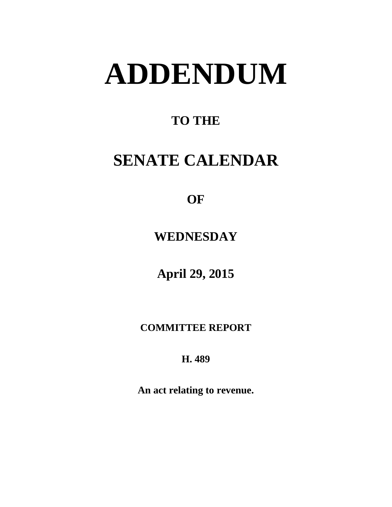# **ADDENDUM**

### **TO THE**

# **SENATE CALENDAR**

**OF** 

**WEDNESDAY**

**April 29, 2015**

**COMMITTEE REPORT**

**H. 489**

**An act relating to revenue.**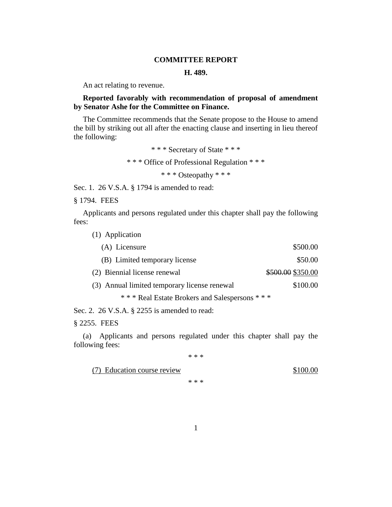#### **COMMITTEE REPORT**

#### **H. 489.**

An act relating to revenue.

#### **Reported favorably with recommendation of proposal of amendment by Senator Ashe for the Committee on Finance.**

The Committee recommends that the Senate propose to the House to amend the bill by striking out all after the enacting clause and inserting in lieu thereof the following:

> \* \* \* Secretary of State \* \* \* \* \* \* Office of Professional Regulation \* \* \* \* \* \* Osteopathy \* \* \*

Sec. 1. 26 V.S.A. § 1794 is amended to read:

§ 1794. FEES

Applicants and persons regulated under this chapter shall pay the following fees:

| (1) Application                              |                   |
|----------------------------------------------|-------------------|
| (A) Licensure                                | \$500.00          |
| (B) Limited temporary license                | \$50.00           |
| (2) Biennial license renewal                 | \$500.00 \$350.00 |
| (3) Annual limited temporary license renewal | \$100.00          |
| *** Real Estate Brokers and Salespersons *** |                   |

Sec. 2. 26 V.S.A. § 2255 is amended to read:

§ 2255. FEES

(a) Applicants and persons regulated under this chapter shall pay the following fees:

\* \* \*

(7) Education course review \$100.00

\* \* \*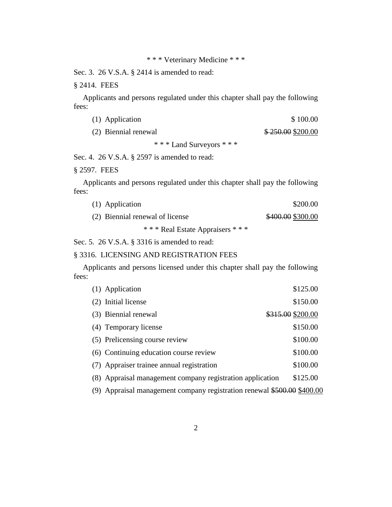Sec. 3. 26 V.S.A. § 2414 is amended to read:

§ 2414. FEES

Applicants and persons regulated under this chapter shall pay the following fees:

| (1) Application      | \$100.00          |
|----------------------|-------------------|
| (2) Biennial renewal | \$250.00 \$200.00 |
| * * * T 1 C * * *    |                   |

\* \* \* Land Surveyors \* \* \*

Sec. 4. 26 V.S.A. § 2597 is amended to read:

§ 2597. FEES

Applicants and persons regulated under this chapter shall pay the following fees:

| (1) Application                    | \$200.00          |
|------------------------------------|-------------------|
| (2) Biennial renewal of license    | \$400.00 \$300.00 |
| * * * Real Estate Appraisers * * * |                   |

Sec. 5. 26 V.S.A. § 3316 is amended to read:

#### § 3316. LICENSING AND REGISTRATION FEES

Applicants and persons licensed under this chapter shall pay the following fees:

| (1) Application                                           | \$125.00          |
|-----------------------------------------------------------|-------------------|
| (2) Initial license                                       | \$150.00          |
| (3) Biennial renewal                                      | \$315.00 \$200.00 |
| (4) Temporary license                                     | \$150.00          |
| (5) Prelicensing course review                            | \$100.00          |
| (6) Continuing education course review                    | \$100.00          |
| (7) Appraiser trainee annual registration                 | \$100.00          |
| (8) Appraisal management company registration application | \$125.00          |
|                                                           |                   |

(9) Appraisal management company registration renewal \$500.00 \$400.00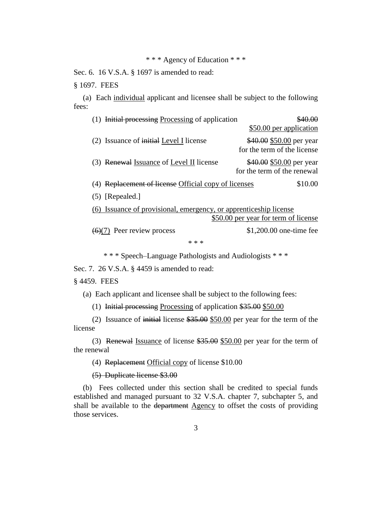#### \* \* \* Agency of Education \* \* \*

Sec. 6. 16 V.S.A. § 1697 is amended to read:

§ 1697. FEES

(a) Each individual applicant and licensee shall be subject to the following fees:

| <b>Initial processing Processing of application</b>                                                              |                                                         |  |
|------------------------------------------------------------------------------------------------------------------|---------------------------------------------------------|--|
|                                                                                                                  | \$50.00 per application                                 |  |
| (2) Issuance of initial Level I license                                                                          | \$40.00 \$50.00 per year<br>for the term of the license |  |
| (3) Renewal Issuance of Level II license                                                                         | \$40.00 \$50.00 per year<br>for the term of the renewal |  |
| Replacement of license Official copy of licenses                                                                 | \$10.00                                                 |  |
| $(5)$ [Repealed.]                                                                                                |                                                         |  |
| <u>(6) Issuance of provisional, emergency, or apprenticeship license</u><br>\$50.00 per year for term of license |                                                         |  |
| $(6)(7)$ Peer review process                                                                                     | $$1,200.00$ one-time fee                                |  |
| * * *                                                                                                            |                                                         |  |

\* \* \* Speech–Language Pathologists and Audiologists \* \* \*

Sec. 7. 26 V.S.A. § 4459 is amended to read:

§ 4459. FEES

(a) Each applicant and licensee shall be subject to the following fees:

(1) Initial processing Processing of application \$35.00 \$50.00

(2) Issuance of initial license \$35.00 \$50.00 per year for the term of the license

(3) Renewal Issuance of license \$35.00 \$50.00 per year for the term of the renewal

(4) Replacement Official copy of license \$10.00

(5) Duplicate license \$3.00

(b) Fees collected under this section shall be credited to special funds established and managed pursuant to 32 V.S.A. chapter 7, subchapter 5, and shall be available to the department Agency to offset the costs of providing those services.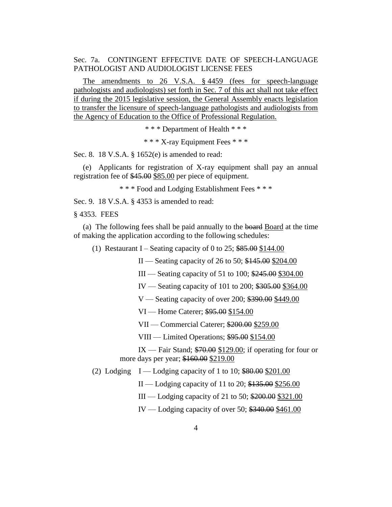Sec. 7a. CONTINGENT EFFECTIVE DATE OF SPEECH-LANGUAGE PATHOLOGIST AND AUDIOLOGIST LICENSE FEES

The amendments to 26 V.S.A. § 4459 (fees for speech-language pathologists and audiologists) set forth in Sec. 7 of this act shall not take effect if during the 2015 legislative session, the General Assembly enacts legislation to transfer the licensure of speech-language pathologists and audiologists from the Agency of Education to the Office of Professional Regulation.

\* \* \* Department of Health \* \* \*

\* \* \* X-ray Equipment Fees \* \* \*

Sec. 8. 18 V.S.A. § 1652(e) is amended to read:

(e) Applicants for registration of X-ray equipment shall pay an annual registration fee of \$45.00 \$85.00 per piece of equipment.

\* \* \* Food and Lodging Establishment Fees \* \* \*

Sec. 9. 18 V.S.A. § 4353 is amended to read:

§ 4353. FEES

(a) The following fees shall be paid annually to the board Board at the time of making the application according to the following schedules:

(1) Restaurant I – Seating capacity of 0 to  $25$ ;  $$85.00$  \$144.00

II — Seating capacity of 26 to 50; \$145.00 \$204.00

III — Seating capacity of 51 to 100; \$245.00 \$304.00

IV — Seating capacity of 101 to 200; \$305.00 \$364.00

V — Seating capacity of over 200; \$390.00 \$449.00

VI — Home Caterer; \$95.00 \$154.00

VII — Commercial Caterer; \$200.00 \$259.00

VIII — Limited Operations; \$95.00 \$154.00

IX — Fair Stand; \$70.00 \$129.00; if operating for four or more days per year; \$160.00 \$219.00

(2) Lodging  $I -$ Lodging capacity of 1 to 10;  $$80.00$$  \$201.00

 $II -$ Lodging capacity of 11 to 20;  $$135.00$  \$256.00

III — Lodging capacity of 21 to 50; \$200.00 \$321.00

IV — Lodging capacity of over 50; \$340.00 \$461.00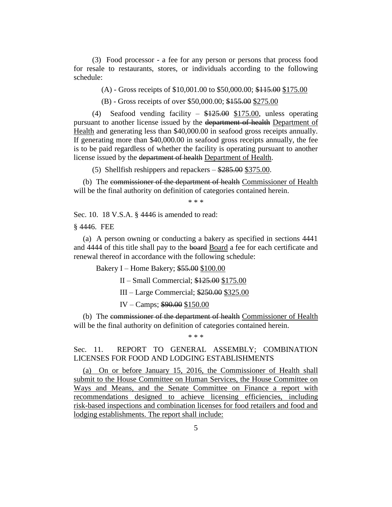(3) Food processor - a fee for any person or persons that process food for resale to restaurants, stores, or individuals according to the following schedule:

(A) - Gross receipts of \$10,001.00 to \$50,000.00; \$115.00 \$175.00

(B) - Gross receipts of over \$50,000.00; \$155.00 \$275.00

(4) Seafood vending facility – \$125.00 \$175.00, unless operating pursuant to another license issued by the department of health Department of Health and generating less than \$40,000.00 in seafood gross receipts annually. If generating more than \$40,000.00 in seafood gross receipts annually, the fee is to be paid regardless of whether the facility is operating pursuant to another license issued by the department of health Department of Health.

(5) Shellfish reshippers and repackers – \$285.00 \$375.00.

(b) The commissioner of the department of health Commissioner of Health will be the final authority on definition of categories contained herein.

\* \* \*

Sec. 10. 18 V.S.A. § 4446 is amended to read:

§ 4446. FEE

(a) A person owning or conducting a bakery as specified in sections 4441 and 4444 of this title shall pay to the board Board a fee for each certificate and renewal thereof in accordance with the following schedule:

Bakery I – Home Bakery; \$55.00 \$100.00

II – Small Commercial; \$125.00 \$175.00

III – Large Commercial; \$250.00 \$325.00

IV – Camps; \$90.00 \$150.00

(b) The commissioner of the department of health Commissioner of Health will be the final authority on definition of categories contained herein.

\* \* \*

Sec. 11. REPORT TO GENERAL ASSEMBLY; COMBINATION LICENSES FOR FOOD AND LODGING ESTABLISHMENTS

(a) On or before January 15, 2016, the Commissioner of Health shall submit to the House Committee on Human Services, the House Committee on Ways and Means, and the Senate Committee on Finance a report with recommendations designed to achieve licensing efficiencies, including risk-based inspections and combination licenses for food retailers and food and lodging establishments. The report shall include: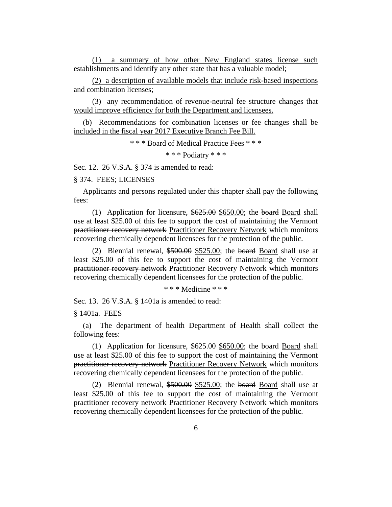(1) a summary of how other New England states license such establishments and identify any other state that has a valuable model;

(2) a description of available models that include risk-based inspections and combination licenses;

(3) any recommendation of revenue-neutral fee structure changes that would improve efficiency for both the Department and licensees.

(b) Recommendations for combination licenses or fee changes shall be included in the fiscal year 2017 Executive Branch Fee Bill.

\* \* \* Board of Medical Practice Fees \* \* \*

\* \* \* Podiatry \* \* \*

Sec. 12. 26 V.S.A. § 374 is amended to read:

§ 374. FEES; LICENSES

Applicants and persons regulated under this chapter shall pay the following fees:

(1) Application for licensure, \$625.00 \$650.00; the board Board shall use at least \$25.00 of this fee to support the cost of maintaining the Vermont practitioner recovery network Practitioner Recovery Network which monitors recovering chemically dependent licensees for the protection of the public.

(2) Biennial renewal, \$500.00 \$525.00; the board Board shall use at least \$25.00 of this fee to support the cost of maintaining the Vermont practitioner recovery network Practitioner Recovery Network which monitors recovering chemically dependent licensees for the protection of the public.

\* \* \* Medicine \* \* \*

Sec. 13. 26 V.S.A. § 1401a is amended to read:

§ 1401a. FEES

(a) The department of health Department of Health shall collect the following fees:

(1) Application for licensure, \$625.00 \$650.00; the board Board shall use at least \$25.00 of this fee to support the cost of maintaining the Vermont practitioner recovery network Practitioner Recovery Network which monitors recovering chemically dependent licensees for the protection of the public.

(2) Biennial renewal, \$500.00 \$525.00; the board Board shall use at least \$25.00 of this fee to support the cost of maintaining the Vermont practitioner recovery network Practitioner Recovery Network which monitors recovering chemically dependent licensees for the protection of the public.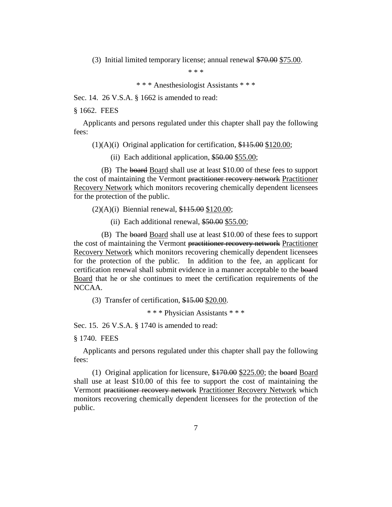(3) Initial limited temporary license; annual renewal \$70.00 \$75.00.

\* \* \*

\* \* \* Anesthesiologist Assistants \* \* \*

Sec. 14. 26 V.S.A. § 1662 is amended to read:

§ 1662. FEES

Applicants and persons regulated under this chapter shall pay the following fees:

(1)(A)(i) Original application for certification, \$115.00 \$120.00;

(ii) Each additional application,  $$50.00 $55.00;$ 

(B) The board Board shall use at least \$10.00 of these fees to support the cost of maintaining the Vermont practitioner recovery network Practitioner Recovery Network which monitors recovering chemically dependent licensees for the protection of the public.

 $(2)(A)(i)$  Biennial renewal,  $$115.00 $120.00;$ 

(ii) Each additional renewal, \$50.00 \$55.00;

(B) The board Board shall use at least \$10.00 of these fees to support the cost of maintaining the Vermont practitioner recovery network Practitioner Recovery Network which monitors recovering chemically dependent licensees for the protection of the public. In addition to the fee, an applicant for certification renewal shall submit evidence in a manner acceptable to the board Board that he or she continues to meet the certification requirements of the NCCAA.

(3) Transfer of certification, \$15.00 \$20.00.

\* \* \* Physician Assistants \* \* \*

Sec. 15. 26 V.S.A. § 1740 is amended to read:

§ 1740. FEES

Applicants and persons regulated under this chapter shall pay the following fees:

(1) Original application for licensure, \$170.00 \$225.00; the board Board shall use at least \$10.00 of this fee to support the cost of maintaining the Vermont practitioner recovery network Practitioner Recovery Network which monitors recovering chemically dependent licensees for the protection of the public.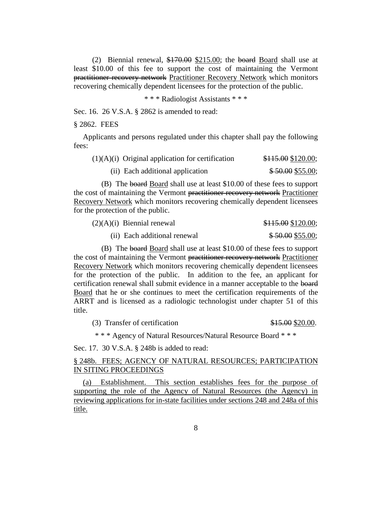(2) Biennial renewal, \$170.00 \$215.00; the board Board shall use at least \$10.00 of this fee to support the cost of maintaining the Vermont practitioner recovery network Practitioner Recovery Network which monitors recovering chemically dependent licensees for the protection of the public.

\* \* \* Radiologist Assistants \* \* \*

Sec. 16. 26 V.S.A. § 2862 is amended to read:

§ 2862. FEES

Applicants and persons regulated under this chapter shall pay the following fees:

| $(1)(A)(i)$ Original application for certification | \$115.00\$120.00; |
|----------------------------------------------------|-------------------|
| (ii) Each additional application                   | $$50.00$ \$55.00; |

(B) The board Board shall use at least \$10.00 of these fees to support the cost of maintaining the Vermont practitioner recovery network Practitioner Recovery Network which monitors recovering chemically dependent licensees for the protection of the public.

| $(2)(A)(i)$ Biennial renewal | \$115.00\$120.00; |
|------------------------------|-------------------|
| (ii) Each additional renewal | \$50.00\$55.00;   |

(B) The board Board shall use at least \$10.00 of these fees to support the cost of maintaining the Vermont practitioner recovery network Practitioner Recovery Network which monitors recovering chemically dependent licensees for the protection of the public. In addition to the fee, an applicant for certification renewal shall submit evidence in a manner acceptable to the board Board that he or she continues to meet the certification requirements of the ARRT and is licensed as a radiologic technologist under chapter 51 of this title.

(3) Transfer of certification  $$15.00$  \$20.00.

\* \* \* Agency of Natural Resources/Natural Resource Board \* \* \*

Sec. 17. 30 V.S.A. § 248b is added to read:

#### § 248b. FEES; AGENCY OF NATURAL RESOURCES; PARTICIPATION IN SITING PROCEEDINGS

(a) Establishment. This section establishes fees for the purpose of supporting the role of the Agency of Natural Resources (the Agency) in reviewing applications for in-state facilities under sections 248 and 248a of this title.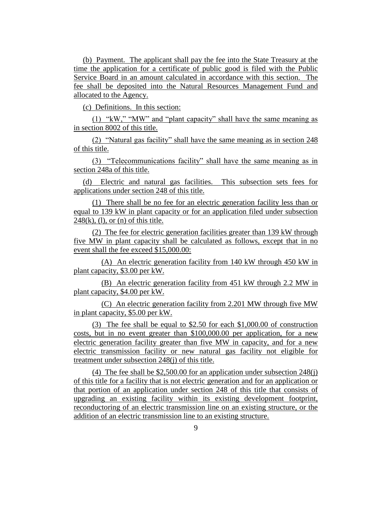(b) Payment. The applicant shall pay the fee into the State Treasury at the time the application for a certificate of public good is filed with the Public Service Board in an amount calculated in accordance with this section. The fee shall be deposited into the Natural Resources Management Fund and allocated to the Agency.

(c) Definitions. In this section:

(1) "kW," "MW" and "plant capacity" shall have the same meaning as in section 8002 of this title.

(2) "Natural gas facility" shall have the same meaning as in section 248 of this title.

(3) "Telecommunications facility" shall have the same meaning as in section 248a of this title.

(d) Electric and natural gas facilities. This subsection sets fees for applications under section 248 of this title.

(1) There shall be no fee for an electric generation facility less than or equal to 139 kW in plant capacity or for an application filed under subsection  $248(k)$ , (1), or (n) of this title.

(2) The fee for electric generation facilities greater than 139 kW through five MW in plant capacity shall be calculated as follows, except that in no event shall the fee exceed \$15,000.00:

(A) An electric generation facility from 140 kW through 450 kW in plant capacity, \$3.00 per kW.

(B) An electric generation facility from 451 kW through 2.2 MW in plant capacity, \$4.00 per kW.

(C) An electric generation facility from 2.201 MW through five MW in plant capacity, \$5.00 per kW.

(3) The fee shall be equal to \$2.50 for each \$1,000.00 of construction costs, but in no event greater than \$100,000.00 per application, for a new electric generation facility greater than five MW in capacity, and for a new electric transmission facility or new natural gas facility not eligible for treatment under subsection 248(j) of this title.

(4) The fee shall be \$2,500.00 for an application under subsection 248(j) of this title for a facility that is not electric generation and for an application or that portion of an application under section 248 of this title that consists of upgrading an existing facility within its existing development footprint, reconductoring of an electric transmission line on an existing structure, or the addition of an electric transmission line to an existing structure.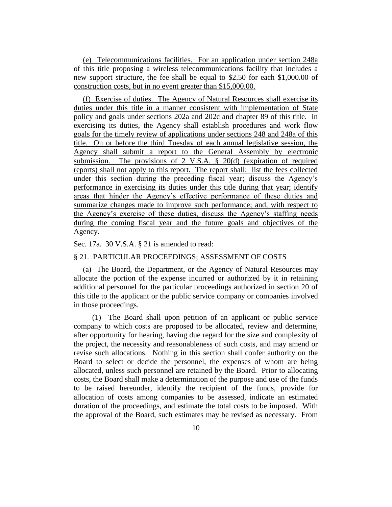(e) Telecommunications facilities. For an application under section 248a of this title proposing a wireless telecommunications facility that includes a new support structure, the fee shall be equal to \$2.50 for each \$1,000.00 of construction costs, but in no event greater than \$15,000.00.

(f) Exercise of duties. The Agency of Natural Resources shall exercise its duties under this title in a manner consistent with implementation of State policy and goals under sections 202a and 202c and chapter 89 of this title. In exercising its duties, the Agency shall establish procedures and work flow goals for the timely review of applications under sections 248 and 248a of this title. On or before the third Tuesday of each annual legislative session, the Agency shall submit a report to the General Assembly by electronic submission. The provisions of 2 V.S.A. § 20(d) (expiration of required reports) shall not apply to this report. The report shall: list the fees collected under this section during the preceding fiscal year; discuss the Agency's performance in exercising its duties under this title during that year; identify areas that hinder the Agency's effective performance of these duties and summarize changes made to improve such performance; and, with respect to the Agency's exercise of these duties, discuss the Agency's staffing needs during the coming fiscal year and the future goals and objectives of the Agency.

Sec. 17a. 30 V.S.A. § 21 is amended to read:

#### § 21. PARTICULAR PROCEEDINGS; ASSESSMENT OF COSTS

(a) The Board, the Department, or the Agency of Natural Resources may allocate the portion of the expense incurred or authorized by it in retaining additional personnel for the particular proceedings authorized in section 20 of this title to the applicant or the public service company or companies involved in those proceedings.

(1) The Board shall upon petition of an applicant or public service company to which costs are proposed to be allocated, review and determine, after opportunity for hearing, having due regard for the size and complexity of the project, the necessity and reasonableness of such costs, and may amend or revise such allocations. Nothing in this section shall confer authority on the Board to select or decide the personnel, the expenses of whom are being allocated, unless such personnel are retained by the Board. Prior to allocating costs, the Board shall make a determination of the purpose and use of the funds to be raised hereunder, identify the recipient of the funds, provide for allocation of costs among companies to be assessed, indicate an estimated duration of the proceedings, and estimate the total costs to be imposed. With the approval of the Board, such estimates may be revised as necessary. From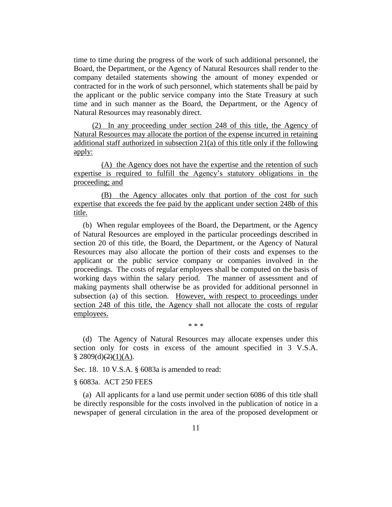time to time during the progress of the work of such additional personnel, the Board, the Department, or the Agency of Natural Resources shall render to the company detailed statements showing the amount of money expended or contracted for in the work of such personnel, which statements shall be paid by the applicant or the public service company into the State Treasury at such time and in such manner as the Board, the Department, or the Agency of Natural Resources may reasonably direct.

(2) In any proceeding under section 248 of this title, the Agency of Natural Resources may allocate the portion of the expense incurred in retaining additional staff authorized in subsection 21(a) of this title only if the following apply:

(A) the Agency does not have the expertise and the retention of such expertise is required to fulfill the Agency's statutory obligations in the proceeding; and

(B) the Agency allocates only that portion of the cost for such expertise that exceeds the fee paid by the applicant under section 248b of this title.

(b) When regular employees of the Board, the Department, or the Agency of Natural Resources are employed in the particular proceedings described in section 20 of this title, the Board, the Department, or the Agency of Natural Resources may also allocate the portion of their costs and expenses to the applicant or the public service company or companies involved in the proceedings. The costs of regular employees shall be computed on the basis of working days within the salary period. The manner of assessment and of making payments shall otherwise be as provided for additional personnel in subsection (a) of this section. However, with respect to proceedings under section 248 of this title, the Agency shall not allocate the costs of regular employees.

\* \* \*

(d) The Agency of Natural Resources may allocate expenses under this section only for costs in excess of the amount specified in 3 V.S.A.  $§ 2809(d)(2)(1)(A).$ 

Sec. 18. 10 V.S.A. § 6083a is amended to read:

#### § 6083a. ACT 250 FEES

(a) All applicants for a land use permit under section 6086 of this title shall be directly responsible for the costs involved in the publication of notice in a newspaper of general circulation in the area of the proposed development or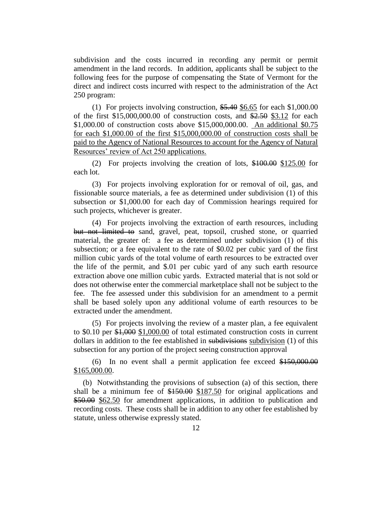subdivision and the costs incurred in recording any permit or permit amendment in the land records. In addition, applicants shall be subject to the following fees for the purpose of compensating the State of Vermont for the direct and indirect costs incurred with respect to the administration of the Act 250 program:

(1) For projects involving construction, \$5.40 \$6.65 for each \$1,000.00 of the first  $$15,000,000.00$  of construction costs, and  $$2.50$  \$3.12 for each \$1,000.00 of construction costs above \$15,000,000.00. An additional \$0.75 for each \$1,000.00 of the first \$15,000,000.00 of construction costs shall be paid to the Agency of National Resources to account for the Agency of Natural Resources' review of Act 250 applications.

(2) For projects involving the creation of lots, \$100.00 \$125.00 for each lot.

(3) For projects involving exploration for or removal of oil, gas, and fissionable source materials, a fee as determined under subdivision (1) of this subsection or \$1,000.00 for each day of Commission hearings required for such projects, whichever is greater.

(4) For projects involving the extraction of earth resources, including but not limited to sand, gravel, peat, topsoil, crushed stone, or quarried material, the greater of: a fee as determined under subdivision (1) of this subsection; or a fee equivalent to the rate of \$0.02 per cubic yard of the first million cubic yards of the total volume of earth resources to be extracted over the life of the permit, and \$.01 per cubic yard of any such earth resource extraction above one million cubic yards. Extracted material that is not sold or does not otherwise enter the commercial marketplace shall not be subject to the fee. The fee assessed under this subdivision for an amendment to a permit shall be based solely upon any additional volume of earth resources to be extracted under the amendment.

(5) For projects involving the review of a master plan, a fee equivalent to \$0.10 per \$1,000 \$1,000.00 of total estimated construction costs in current dollars in addition to the fee established in subdivisions subdivision (1) of this subsection for any portion of the project seeing construction approval

(6) In no event shall a permit application fee exceed \$150,000.00 \$165,000.00.

(b) Notwithstanding the provisions of subsection (a) of this section, there shall be a minimum fee of \$150.00 \$187.50 for original applications and \$50.00 \$62.50 for amendment applications, in addition to publication and recording costs. These costs shall be in addition to any other fee established by statute, unless otherwise expressly stated.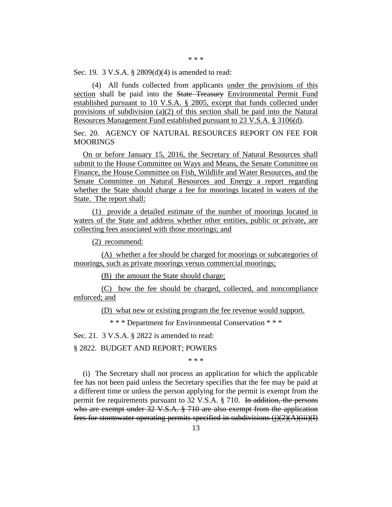\* \* \*

Sec. 19. 3 V.S.A. § 2809(d)(4) is amended to read:

(4) All funds collected from applicants under the provisions of this section shall be paid into the State Treasury Environmental Permit Fund established pursuant to 10 V.S.A. § 2805, except that funds collected under provisions of subdivision (a)(2) of this section shall be paid into the Natural Resources Management Fund established pursuant to 23 V.S.A. § 3106(d).

Sec. 20. AGENCY OF NATURAL RESOURCES REPORT ON FEE FOR **MOORINGS** 

On or before January 15, 2016, the Secretary of Natural Resources shall submit to the House Committee on Ways and Means, the Senate Committee on Finance, the House Committee on Fish, Wildlife and Water Resources, and the Senate Committee on Natural Resources and Energy a report regarding whether the State should charge a fee for moorings located in waters of the State. The report shall:

(1) provide a detailed estimate of the number of moorings located in waters of the State and address whether other entities, public or private, are collecting fees associated with those moorings; and

(2) recommend:

(A) whether a fee should be charged for moorings or subcategories of moorings, such as private moorings versus commercial moorings;

(B) the amount the State should charge;

(C) how the fee should be charged, collected, and noncompliance enforced; and

(D) what new or existing program the fee revenue would support.

\* \* \* Department for Environmental Conservation \* \* \*

Sec. 21. 3 V.S.A. § 2822 is amended to read:

§ 2822. BUDGET AND REPORT; POWERS

\* \* \*

(i) The Secretary shall not process an application for which the applicable fee has not been paid unless the Secretary specifies that the fee may be paid at a different time or unless the person applying for the permit is exempt from the permit fee requirements pursuant to 32 V.S.A. § 710. In addition, the persons who are exempt under 32 V.S.A. § 710 are also exempt from the application fees for stormwater operating permits specified in subdivisions  $(i)(2)(A)(iii)(I)$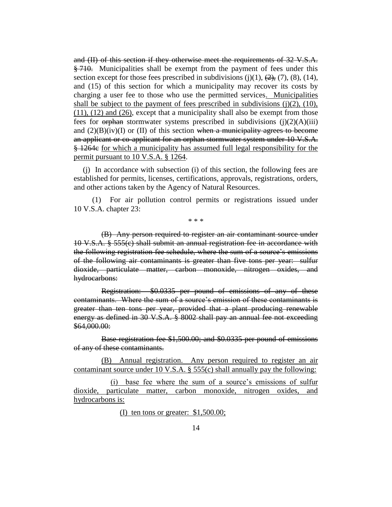and (II) of this section if they otherwise meet the requirements of 32 V.S.A. § 710. Municipalities shall be exempt from the payment of fees under this section except for those fees prescribed in subdivisions  $(j)(1)$ ,  $(2)$ ,  $(7)$ ,  $(8)$ ,  $(14)$ , and (15) of this section for which a municipality may recover its costs by charging a user fee to those who use the permitted services. Municipalities shall be subject to the payment of fees prescribed in subdivisions  $(j)(2)$ ,  $(10)$ , (11), (12) and (26), except that a municipality shall also be exempt from those fees for  $\theta$  orphan stormwater systems prescribed in subdivisions (j)(2)(A)(iii) and  $(2)(B)(iv)(I)$  or (II) of this section when a municipality agrees to become an applicant or co-applicant for an orphan stormwater system under 10 V.S.A. § 1264c for which a municipality has assumed full legal responsibility for the permit pursuant to 10 V.S.A. § 1264.

(j) In accordance with subsection (i) of this section, the following fees are established for permits, licenses, certifications, approvals, registrations, orders, and other actions taken by the Agency of Natural Resources.

(1) For air pollution control permits or registrations issued under 10 V.S.A. chapter 23:

\* \* \*

(B) Any person required to register an air contaminant source under 10 V.S.A. § 555(c) shall submit an annual registration fee in accordance with the following registration fee schedule, where the sum of a source's emissions of the following air contaminants is greater than five tons per year: sulfur dioxide, particulate matter, carbon monoxide, nitrogen oxides, and hydrocarbons:

Registration: \$0.0335 per pound of emissions of any of these contaminants. Where the sum of a source's emission of these contaminants is greater than ten tons per year, provided that a plant producing renewable energy as defined in 30 V.S.A. § 8002 shall pay an annual fee not exceeding \$64,000.00:

Base registration fee \$1,500.00; and \$0.0335 per pound of emissions of any of these contaminants.

(B) Annual registration. Any person required to register an air contaminant source under 10 V.S.A. § 555(c) shall annually pay the following:

(i) base fee where the sum of a source's emissions of sulfur dioxide, particulate matter, carbon monoxide, nitrogen oxides, and hydrocarbons is:

(I) ten tons or greater: \$1,500.00;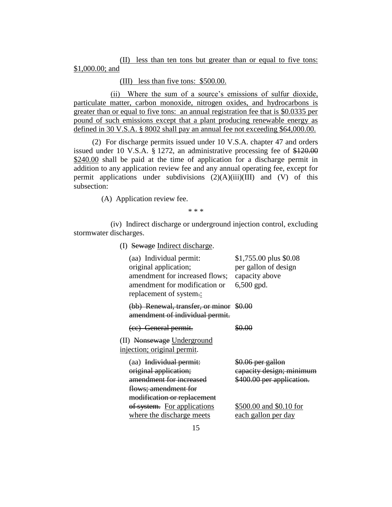(II) less than ten tons but greater than or equal to five tons: \$1,000.00; and

(III) less than five tons: \$500.00.

(ii) Where the sum of a source's emissions of sulfur dioxide, particulate matter, carbon monoxide, nitrogen oxides, and hydrocarbons is greater than or equal to five tons: an annual registration fee that is \$0.0335 per pound of such emissions except that a plant producing renewable energy as defined in 30 V.S.A. § 8002 shall pay an annual fee not exceeding \$64,000.00.

(2) For discharge permits issued under 10 V.S.A. chapter 47 and orders issued under 10 V.S.A. § 1272, an administrative processing fee of \$120.00 \$240.00 shall be paid at the time of application for a discharge permit in addition to any application review fee and any annual operating fee, except for permit applications under subdivisions  $(2)(A)(iii)(III)$  and  $(V)$  of this subsection:

(A) Application review fee.

\* \* \*

(iv) Indirect discharge or underground injection control, excluding stormwater discharges.

(I) Sewage Indirect discharge.

| (aa) Individual permit:<br>original application;<br>amendment for increased flows;<br>amendment for modification or<br>replacement of system.: | \$1,755.00 plus \$0.08<br>per gallon of design<br>capacity above<br>$6,500$ gpd. |
|------------------------------------------------------------------------------------------------------------------------------------------------|----------------------------------------------------------------------------------|
| (bb) Renewal, transfer, or minor \$0.00<br>amendment of individual permit.                                                                     |                                                                                  |
| (ee) General permit.                                                                                                                           | <u>o oo</u>                                                                      |
| (II) Nonsewage Underground<br><u>injection; original permit.</u>                                                                               |                                                                                  |
| (aa) Individual permit:<br>original application;<br>amendment for increased<br>flows; amendment for<br>modification or replacement             | \$0.06 per gallon<br>capacity design; minimum<br>\$400.00 per application.       |
| of system. For applications<br>where the discharge meets                                                                                       | \$500.00 and \$0.10 for<br>each gallon per day                                   |
|                                                                                                                                                |                                                                                  |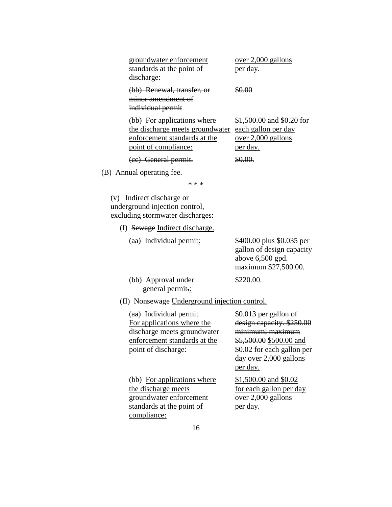| groundwater enforcement                                                                                                | over 2,000 gallons                                                                 |
|------------------------------------------------------------------------------------------------------------------------|------------------------------------------------------------------------------------|
| standards at the point of                                                                                              | per day.                                                                           |
| discharge:                                                                                                             |                                                                                    |
| (bb) Renewal, transfer, or<br>minor amendment of<br>individual permit                                                  | 30.QQ                                                                              |
| (bb) For applications where<br>the discharge meets groundwater<br>enforcement standards at the<br>point of compliance: | \$1,500.00 and \$0.20 for<br>each gallon per day<br>over 2,000 gallons<br>per day. |
| (cc) General permit.                                                                                                   |                                                                                    |
| $\lambda$ 1, $\lambda$ 1                                                                                               |                                                                                    |

(B) Annual operating fee.

\* \* \*

(v) Indirect discharge or underground injection control, excluding stormwater discharges:

- (I) Sewage Indirect discharge.
	- (aa) Individual permit: \$400.00 plus \$0.035 per gallon of design capacity above 6,500 gpd. maximum \$27,500.00. (bb) Approval under \$220.00. general permit.:
- (II) Nonsewage Underground injection control.

| (aa) Individual permit       | \$0.013 per gallon of      |
|------------------------------|----------------------------|
| For applications where the   | design capacity. \$250.00  |
| discharge meets groundwater  | minimum; maximum           |
| enforcement standards at the | \$5,500.00 \$500.00 and    |
| point of discharge:          | \$0.02 for each gallon per |
|                              | day over 2,000 gallons     |
|                              | per day.                   |
| (bb) For applications where  | \$1,500.00 and \$0.02      |
| the discharge meets          | for each gallon per day    |
| groundwater enforcement      | over 2,000 gallons         |
| standards at the point of    | <u>per day.</u>            |
| compliance:                  |                            |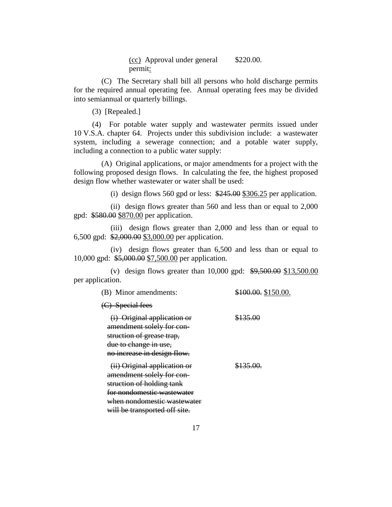(cc) Approval under general \$220.00. permit:

(C) The Secretary shall bill all persons who hold discharge permits for the required annual operating fee. Annual operating fees may be divided into semiannual or quarterly billings.

(3) [Repealed.]

(4) For potable water supply and wastewater permits issued under 10 V.S.A. chapter 64. Projects under this subdivision include: a wastewater system, including a sewerage connection; and a potable water supply, including a connection to a public water supply:

(A) Original applications, or major amendments for a project with the following proposed design flows. In calculating the fee, the highest proposed design flow whether wastewater or water shall be used:

(i) design flows 560 gpd or less:  $\frac{$245.00}{$245.00}{$306.25$$  per application.

(ii) design flows greater than 560 and less than or equal to 2,000 gpd: \$580.00 \$870.00 per application.

(iii) design flows greater than 2,000 and less than or equal to 6,500 gpd: \$2,000.00 \$3,000.00 per application.

(iv) design flows greater than 6,500 and less than or equal to 10,000 gpd: \$5,000.00 \$7,500.00 per application.

(v) design flows greater than 10,000 gpd: \$9,500.00 \$13,500.00 per application.

| (B) Minor amendments:                                                                                                                                                                | \$100.00. \$150.00. |
|--------------------------------------------------------------------------------------------------------------------------------------------------------------------------------------|---------------------|
| (C) Special fees                                                                                                                                                                     |                     |
| (i) Original application or<br>amendment solely for con-<br>struction of grease trap,<br>due to change in use.<br>no increase in design flow.                                        | \$135.00            |
| (ii) Original application or<br>amendment solely for con-<br>struction of holding tank<br>for nondomestic wastewater<br>when nondomestic wastewater<br>will be transported off site. | \$135.00.           |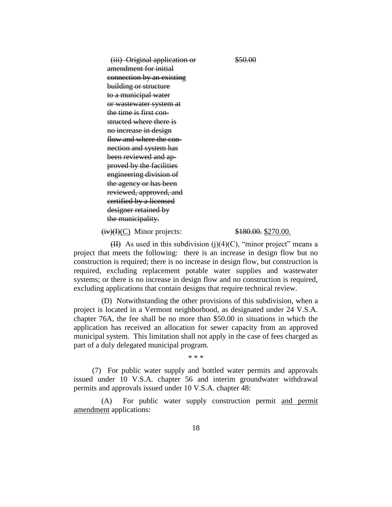(iii) Original application or \$50.00 amendment for initial connection by an existing building or structure to a municipal water or wastewater system at the time is first con structed where there is no increase in design flow and where the con nection and system has been reviewed and ap proved by the facilities engineering division of the agency or has been reviewed, approved, and certified by a licensed designer retained by the municipality.

 $(iv)(I)(C)$  Minor projects:  $\frac{$180.00}{1000}$ . \$270.00.

(II) As used in this subdivision (j)(4)(C), "minor project" means a project that meets the following: there is an increase in design flow but no construction is required; there is no increase in design flow, but construction is required, excluding replacement potable water supplies and wastewater systems; or there is no increase in design flow and no construction is required, excluding applications that contain designs that require technical review.

(D) Notwithstanding the other provisions of this subdivision, when a project is located in a Vermont neighborhood, as designated under 24 V.S.A. chapter 76A, the fee shall be no more than \$50.00 in situations in which the application has received an allocation for sewer capacity from an approved municipal system. This limitation shall not apply in the case of fees charged as part of a duly delegated municipal program.

\* \* \*

(7) For public water supply and bottled water permits and approvals issued under 10 V.S.A. chapter 56 and interim groundwater withdrawal permits and approvals issued under 10 V.S.A. chapter 48:

(A) For public water supply construction permit and permit amendment applications: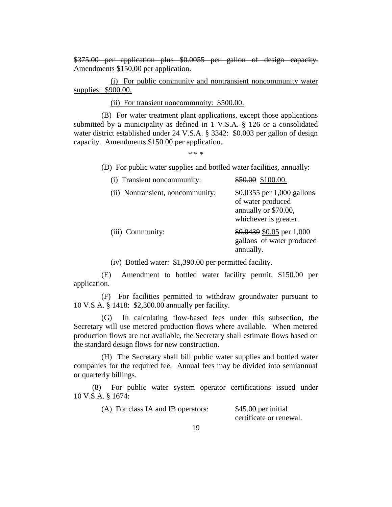\$375.00 per application plus \$0.0055 per gallon of design capacity. Amendments \$150.00 per application.

(i) For public community and nontransient noncommunity water supplies: \$900.00.

(ii) For transient noncommunity: \$500.00.

(B) For water treatment plant applications, except those applications submitted by a municipality as defined in 1 V.S.A. § 126 or a consolidated water district established under 24 V.S.A. § 3342: \$0.003 per gallon of design capacity. Amendments \$150.00 per application.

\* \* \*

(D) For public water supplies and bottled water facilities, annually:

| (i) Transient noncommunity:      | $$50.00$$ \$100.00.                                                                              |
|----------------------------------|--------------------------------------------------------------------------------------------------|
| (ii) Nontransient, noncommunity: | \$0.0355 per 1,000 gallons<br>of water produced<br>annually or \$70.00,<br>whichever is greater. |
| (iii) Community:                 | $$0.0439$ \$0.05 per 1,000<br>gallons of water produced<br>annually.                             |

(iv) Bottled water: \$1,390.00 per permitted facility.

(E) Amendment to bottled water facility permit, \$150.00 per application.

(F) For facilities permitted to withdraw groundwater pursuant to 10 V.S.A. § 1418: \$2,300.00 annually per facility.

(G) In calculating flow-based fees under this subsection, the Secretary will use metered production flows where available. When metered production flows are not available, the Secretary shall estimate flows based on the standard design flows for new construction.

(H) The Secretary shall bill public water supplies and bottled water companies for the required fee. Annual fees may be divided into semiannual or quarterly billings.

(8) For public water system operator certifications issued under 10 V.S.A. § 1674:

| (A) For class IA and IB operators: | \$45.00 per initial     |
|------------------------------------|-------------------------|
|                                    | certificate or renewal. |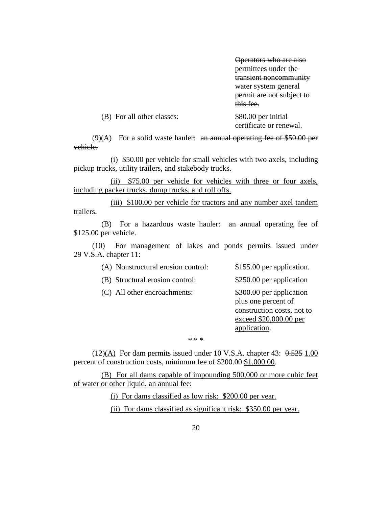Operators who are also permittees under the transient noncommunity water system general permit are not subject to this fee.

| (B) For all other classes: | \$80.00 per initial     |
|----------------------------|-------------------------|
|                            | certificate or renewal. |

 $(9)(A)$  For a solid waste hauler: an annual operating fee of \$50.00 per vehicle.

(i) \$50.00 per vehicle for small vehicles with two axels, including pickup trucks, utility trailers, and stakebody trucks.

(ii) \$75.00 per vehicle for vehicles with three or four axels, including packer trucks, dump trucks, and roll offs.

(iii) \$100.00 per vehicle for tractors and any number axel tandem trailers.

(B) For a hazardous waste hauler: an annual operating fee of \$125.00 per vehicle.

(10) For management of lakes and ponds permits issued under 29 V.S.A. chapter 11:

| (A) Nonstructural erosion control: | \$155.00 per application.                                                                                               |
|------------------------------------|-------------------------------------------------------------------------------------------------------------------------|
| (B) Structural erosion control:    | \$250.00 per application                                                                                                |
| (C) All other encroachments:       | \$300.00 per application<br>plus one percent of<br>construction costs, not to<br>exceed \$20,000.00 per<br>application. |
| * * *                              |                                                                                                                         |

 $(12)(A)$  For dam permits issued under 10 V.S.A. chapter 43:  $0.525$  1.00 percent of construction costs, minimum fee of \$200.00 \$1.000.00.

(B) For all dams capable of impounding 500,000 or more cubic feet of water or other liquid, an annual fee:

(i) For dams classified as low risk: \$200.00 per year.

(ii) For dams classified as significant risk: \$350.00 per year.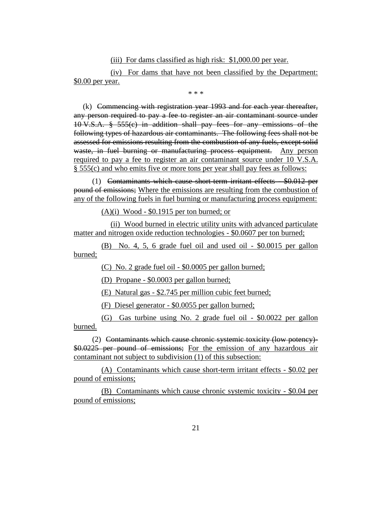(iii) For dams classified as high risk: \$1,000.00 per year.

(iv) For dams that have not been classified by the Department: \$0.00 per year.

\* \* \*

(k) Commencing with registration year 1993 and for each year thereafter, any person required to pay a fee to register an air contaminant source under 10 V.S.A. § 555(c) in addition shall pay fees for any emissions of the following types of hazardous air contaminants. The following fees shall not be assessed for emissions resulting from the combustion of any fuels, except solid waste, in fuel burning or manufacturing process equipment. Any person required to pay a fee to register an air contaminant source under 10 V.S.A. § 555(c) and who emits five or more tons per year shall pay fees as follows:

(1) Contaminants which cause short-term irritant effects - \$0.012 per pound of emissions; Where the emissions are resulting from the combustion of any of the following fuels in fuel burning or manufacturing process equipment:

(A)(i) Wood - \$0.1915 per ton burned; or

(ii) Wood burned in electric utility units with advanced particulate matter and nitrogen oxide reduction technologies - \$0.0607 per ton burned;

(B) No. 4, 5, 6 grade fuel oil and used oil - \$0.0015 per gallon burned;

(C) No. 2 grade fuel oil - \$0.0005 per gallon burned;

(D) Propane - \$0.0003 per gallon burned;

(E) Natural gas - \$2.745 per million cubic feet burned;

(F) Diesel generator - \$0.0055 per gallon burned;

(G) Gas turbine using No. 2 grade fuel oil - \$0.0022 per gallon burned.

(2) Contaminants which cause chronic systemic toxicity (low potency)- \$0.0225 per pound of emissions; For the emission of any hazardous air contaminant not subject to subdivision (1) of this subsection:

(A) Contaminants which cause short-term irritant effects - \$0.02 per pound of emissions;

(B) Contaminants which cause chronic systemic toxicity - \$0.04 per pound of emissions;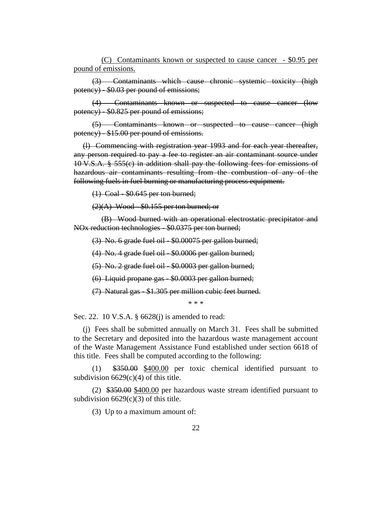(C) Contaminants known or suspected to cause cancer - \$0.95 per pound of emissions.

(3) Contaminants which cause chronic systemic toxicity (high potency) - \$0.03 per pound of emissions;

(4) Contaminants known or suspected to cause cancer (low potency) - \$0.825 per pound of emissions;

(5) Contaminants known or suspected to cause cancer (high potency) - \$15.00 per pound of emissions.

(l) Commencing with registration year 1993 and for each year thereafter, any person required to pay a fee to register an air contaminant source under 10 V.S.A. § 555(c) in addition shall pay the following fees for emissions of hazardous air contaminants resulting from the combustion of any of the following fuels in fuel burning or manufacturing process equipment.

(1) Coal - \$0.645 per ton burned;

 $(2)(A)$  Wood - \$0.155 per ton burned; or

(B) Wood burned with an operational electrostatic precipitator and NOx reduction technologies - \$0.0375 per ton burned;

(3) No. 6 grade fuel oil - \$0.00075 per gallon burned;

(4) No. 4 grade fuel oil - \$0.0006 per gallon burned;

(5) No. 2 grade fuel oil - \$0.0003 per gallon burned;

(6) Liquid propane gas - \$0.0003 per gallon burned;

(7) Natural gas - \$1.305 per million cubic feet burned.

\* \* \*

Sec. 22. 10 V.S.A. § 6628(j) is amended to read:

(j) Fees shall be submitted annually on March 31. Fees shall be submitted to the Secretary and deposited into the hazardous waste management account of the Waste Management Assistance Fund established under section 6618 of this title. Fees shall be computed according to the following:

(1) \$350.00 \$400.00 per toxic chemical identified pursuant to subdivision  $6629(c)(4)$  of this title.

(2) \$350.00 \$400.00 per hazardous waste stream identified pursuant to subdivision  $6629(c)(3)$  of this title.

(3) Up to a maximum amount of: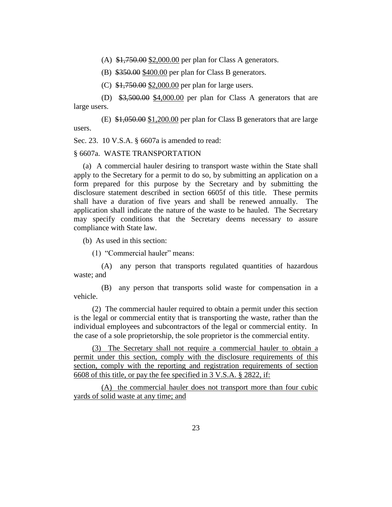(A)  $\frac{$1,750.00}{$2,000.00}$  per plan for Class A generators.

(B) \$350.00 \$400.00 per plan for Class B generators.

(C) \$1,750.00 \$2,000.00 per plan for large users.

(D)  $\frac{$3,500.00}{$4,000.00}$  per plan for Class A generators that are large users.

(E)  $$1,050.00$   $$1,200.00$  per plan for Class B generators that are large users.

Sec. 23. 10 V.S.A. § 6607a is amended to read:

§ 6607a. WASTE TRANSPORTATION

(a) A commercial hauler desiring to transport waste within the State shall apply to the Secretary for a permit to do so, by submitting an application on a form prepared for this purpose by the Secretary and by submitting the disclosure statement described in section 6605f of this title. These permits shall have a duration of five years and shall be renewed annually. The application shall indicate the nature of the waste to be hauled. The Secretary may specify conditions that the Secretary deems necessary to assure compliance with State law.

(b) As used in this section:

(1) "Commercial hauler" means:

(A) any person that transports regulated quantities of hazardous waste; and

(B) any person that transports solid waste for compensation in a vehicle.

(2) The commercial hauler required to obtain a permit under this section is the legal or commercial entity that is transporting the waste, rather than the individual employees and subcontractors of the legal or commercial entity. In the case of a sole proprietorship, the sole proprietor is the commercial entity.

(3) The Secretary shall not require a commercial hauler to obtain a permit under this section, comply with the disclosure requirements of this section, comply with the reporting and registration requirements of section 6608 of this title, or pay the fee specified in 3 V.S.A. § 2822, if:

(A) the commercial hauler does not transport more than four cubic yards of solid waste at any time; and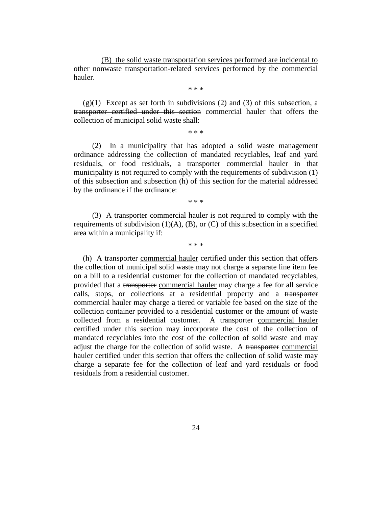(B) the solid waste transportation services performed are incidental to other nonwaste transportation-related services performed by the commercial hauler.

\* \* \*

 $(g)(1)$  Except as set forth in subdivisions  $(2)$  and  $(3)$  of this subsection, a transporter certified under this section commercial hauler that offers the collection of municipal solid waste shall:

\* \* \*

(2) In a municipality that has adopted a solid waste management ordinance addressing the collection of mandated recyclables, leaf and yard residuals, or food residuals, a transporter commercial hauler in that municipality is not required to comply with the requirements of subdivision (1) of this subsection and subsection (h) of this section for the material addressed by the ordinance if the ordinance:

\* \* \*

(3) A transporter commercial hauler is not required to comply with the requirements of subdivision  $(1)(A)$ ,  $(B)$ , or  $(C)$  of this subsection in a specified area within a municipality if:

\* \* \*

(h) A transporter commercial hauler certified under this section that offers the collection of municipal solid waste may not charge a separate line item fee on a bill to a residential customer for the collection of mandated recyclables, provided that a transporter commercial hauler may charge a fee for all service calls, stops, or collections at a residential property and a transporter commercial hauler may charge a tiered or variable fee based on the size of the collection container provided to a residential customer or the amount of waste collected from a residential customer. A transporter commercial hauler certified under this section may incorporate the cost of the collection of mandated recyclables into the cost of the collection of solid waste and may adjust the charge for the collection of solid waste. A transporter commercial hauler certified under this section that offers the collection of solid waste may charge a separate fee for the collection of leaf and yard residuals or food residuals from a residential customer.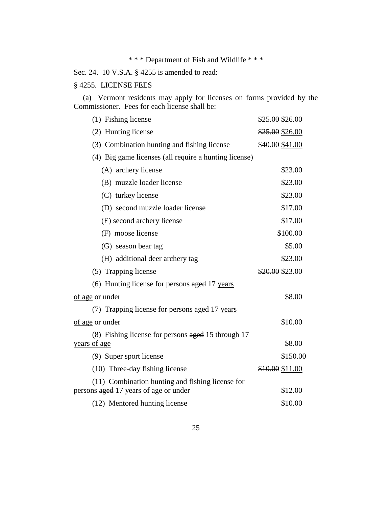### \* \* \* Department of Fish and Wildlife \* \* \*

Sec. 24. 10 V.S.A. § 4255 is amended to read:

#### § 4255. LICENSE FEES

(a) Vermont residents may apply for licenses on forms provided by the Commissioner. Fees for each license shall be:

| (1) Fishing license                                   | \$25.00 \$26.00 |
|-------------------------------------------------------|-----------------|
| (2) Hunting license                                   | \$25.00 \$26.00 |
| (3) Combination hunting and fishing license           | \$40.00 \$41.00 |
| (4) Big game licenses (all require a hunting license) |                 |
| (A) archery license                                   | \$23.00         |
| (B) muzzle loader license                             | \$23.00         |
| (C) turkey license                                    | \$23.00         |
| (D) second muzzle loader license                      | \$17.00         |
| (E) second archery license                            | \$17.00         |
| (F) moose license                                     | \$100.00        |
| (G) season bear tag                                   | \$5.00          |
| (H) additional deer archery tag                       | \$23.00         |
| (5) Trapping license                                  | \$20.00 \$23.00 |
| (6) Hunting license for persons aged 17 years         |                 |
| of age or under                                       | \$8.00          |
| (7) Trapping license for persons aged 17 years        |                 |
| of age or under                                       | \$10.00         |
| (8) Fishing license for persons aged 15 through 17    |                 |
| <u>years of age</u>                                   | \$8.00          |
| (9) Super sport license                               | \$150.00        |
| (10) Three-day fishing license                        | \$10.00 \$11.00 |
| (11) Combination hunting and fishing license for      |                 |
| persons aged 17 years of age or under                 | \$12.00         |
| (12) Mentored hunting license                         | \$10.00         |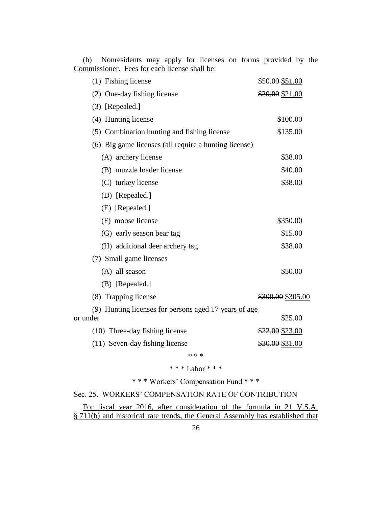| (1) Fishing license                                   | \$50.00 \$51.00   |
|-------------------------------------------------------|-------------------|
| (2) One-day fishing license                           | \$20.00 \$21.00   |
| (3) [Repealed.]                                       |                   |
| (4) Hunting license                                   | \$100.00          |
| (5) Combination hunting and fishing license           | \$135.00          |
| (6) Big game licenses (all require a hunting license) |                   |
| (A) archery license                                   | \$38.00           |
| (B) muzzle loader license                             | \$40.00           |
| (C) turkey license                                    | \$38.00           |
| (D) [Repealed.]                                       |                   |
| (E) [Repealed.]                                       |                   |
| (F) moose license                                     | \$350.00          |
| (G) early season bear tag                             | \$15.00           |
| (H) additional deer archery tag                       | \$38.00           |
| (7) Small game licenses                               |                   |
| $(A)$ all season                                      | \$50.00           |
| (B) [Repealed.]                                       |                   |
| (8) Trapping license                                  | \$300.00 \$305.00 |
| (9) Hunting licenses for persons aged 17 years of age |                   |
| or under                                              | \$25.00           |
| (10) Three-day fishing license                        | \$22.00 \$23.00   |
| (11) Seven-day fishing license                        | \$30.00 \$31.00   |
| * * *                                                 |                   |

(b) Nonresidents may apply for licenses on forms provided by the Commissioner. Fees for each license shall be:

## \* \* \* Labor \* \* \*

\* \* \* Workers' Compensation Fund \* \* \*

#### Sec. 25. WORKERS' COMPENSATION RATE OF CONTRIBUTION

For fiscal year 2016, after consideration of the formula in 21 V.S.A. § 711(b) and historical rate trends, the General Assembly has established that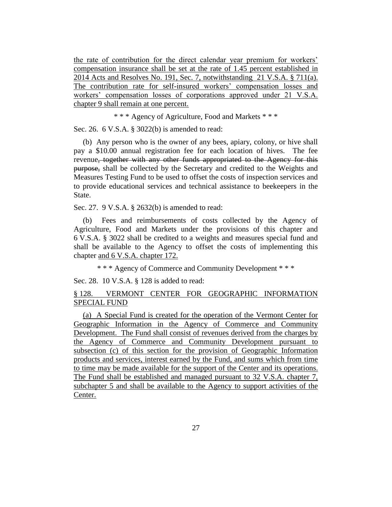the rate of contribution for the direct calendar year premium for workers' compensation insurance shall be set at the rate of 1.45 percent established in 2014 Acts and Resolves No. 191, Sec. 7, notwithstanding 21 V.S.A. § 711(a). The contribution rate for self-insured workers' compensation losses and workers' compensation losses of corporations approved under 21 V.S.A. chapter 9 shall remain at one percent.

\* \* \* Agency of Agriculture, Food and Markets \* \* \*

Sec. 26. 6 V.S.A. § 3022(b) is amended to read:

(b) Any person who is the owner of any bees, apiary, colony, or hive shall pay a \$10.00 annual registration fee for each location of hives. The fee revenue, together with any other funds appropriated to the Agency for this purpose, shall be collected by the Secretary and credited to the Weights and Measures Testing Fund to be used to offset the costs of inspection services and to provide educational services and technical assistance to beekeepers in the State.

Sec. 27. 9 V.S.A. § 2632(b) is amended to read:

(b) Fees and reimbursements of costs collected by the Agency of Agriculture, Food and Markets under the provisions of this chapter and 6 V.S.A. § 3022 shall be credited to a weights and measures special fund and shall be available to the Agency to offset the costs of implementing this chapter and 6 V.S.A. chapter 172.

\* \* \* Agency of Commerce and Community Development \* \* \*

Sec. 28. 10 V.S.A. § 128 is added to read:

§ 128. VERMONT CENTER FOR GEOGRAPHIC INFORMATION SPECIAL FUND

(a) A Special Fund is created for the operation of the Vermont Center for Geographic Information in the Agency of Commerce and Community Development. The Fund shall consist of revenues derived from the charges by the Agency of Commerce and Community Development pursuant to subsection (c) of this section for the provision of Geographic Information products and services, interest earned by the Fund, and sums which from time to time may be made available for the support of the Center and its operations. The Fund shall be established and managed pursuant to 32 V.S.A. chapter 7, subchapter 5 and shall be available to the Agency to support activities of the Center.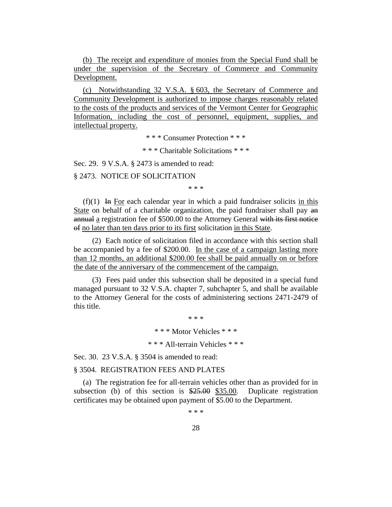(b) The receipt and expenditure of monies from the Special Fund shall be under the supervision of the Secretary of Commerce and Community Development.

(c) Notwithstanding 32 V.S.A. § 603, the Secretary of Commerce and Community Development is authorized to impose charges reasonably related to the costs of the products and services of the Vermont Center for Geographic Information, including the cost of personnel, equipment, supplies, and intellectual property.

\* \* \* Consumer Protection \* \* \*

\* \* \* Charitable Solicitations \* \* \*

Sec. 29. 9 V.S.A. § 2473 is amended to read:

§ 2473. NOTICE OF SOLICITATION

\* \* \*

 $(f)(1)$  In For each calendar year in which a paid fundraiser solicits in this State on behalf of a charitable organization, the paid fundraiser shall pay an annual a registration fee of \$500.00 to the Attorney General with its first notice of no later than ten days prior to its first solicitation in this State.

(2) Each notice of solicitation filed in accordance with this section shall be accompanied by a fee of \$200.00. In the case of a campaign lasting more than 12 months, an additional \$200.00 fee shall be paid annually on or before the date of the anniversary of the commencement of the campaign.

(3) Fees paid under this subsection shall be deposited in a special fund managed pursuant to 32 V.S.A. chapter 7, subchapter 5, and shall be available to the Attorney General for the costs of administering sections 2471-2479 of this title.

> \* \* \* \* \* \* Motor Vehicles \* \* \* \* \* \* All-terrain Vehicles \* \* \*

Sec. 30. 23 V.S.A. § 3504 is amended to read:

#### § 3504. REGISTRATION FEES AND PLATES

(a) The registration fee for all-terrain vehicles other than as provided for in subsection (b) of this section is \$25.00 \$35.00. Duplicate registration certificates may be obtained upon payment of \$5.00 to the Department.

\* \* \*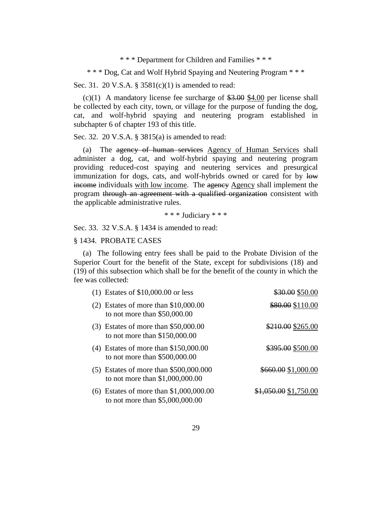\* \* \* Department for Children and Families \* \* \*

\* \* \* Dog, Cat and Wolf Hybrid Spaying and Neutering Program \* \* \*

Sec. 31. 20 V.S.A. § 3581(c)(1) is amended to read:

(c)(1) A mandatory license fee surcharge of  $$3.00 \text{ }\, $4.00$$  per license shall be collected by each city, town, or village for the purpose of funding the dog, cat, and wolf-hybrid spaying and neutering program established in subchapter 6 of chapter 193 of this title.

Sec. 32. 20 V.S.A. § 3815(a) is amended to read:

(a) The agency of human services Agency of Human Services shall administer a dog, cat, and wolf-hybrid spaying and neutering program providing reduced-cost spaying and neutering services and presurgical immunization for dogs, cats, and wolf-hybrids owned or cared for by low income individuals with low income. The agency Agency shall implement the program through an agreement with a qualified organization consistent with the applicable administrative rules.

\* \* \* Judiciary \* \* \*

Sec. 33. 32 V.S.A. § 1434 is amended to read:

#### § 1434. PROBATE CASES

(a) The following entry fees shall be paid to the Probate Division of the Superior Court for the benefit of the State, except for subdivisions (18) and (19) of this subsection which shall be for the benefit of the county in which the fee was collected:

| $(1)$ Estates of \$10,000.00 or less                                          | \$30.00 \$50.00       |
|-------------------------------------------------------------------------------|-----------------------|
| $(2)$ Estates of more than \$10,000.00<br>to not more than $$50,000.00$       | \$80.00 \$110.00      |
| $(3)$ Estates of more than \$50,000.00<br>to not more than $$150,000.00$      | \$210.00 \$265.00     |
| $(4)$ Estates of more than \$150,000.00<br>to not more than $$500,000.00$     | \$395.00 \$500.00     |
| $(5)$ Estates of more than \$500,000.000<br>to not more than \$1,000,000.00   | \$660.00 \$1,000.00   |
| $(6)$ Estates of more than \$1,000,000.00<br>to not more than $$5,000,000.00$ | \$1,050.00 \$1,750.00 |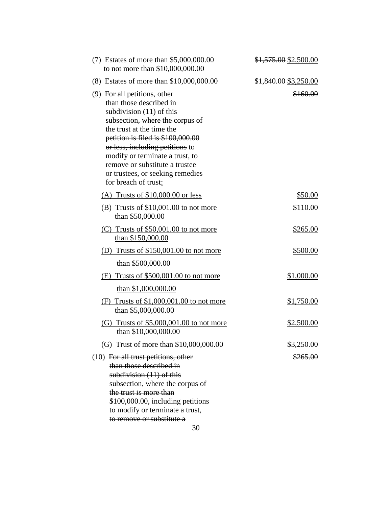| $(7)$ Estates of more than \$5,000,000.00<br>to not more than \$10,000,000.00                                                                                                                                                                                                                                                                                  | $$1,575.00$ \$2,500.00 |
|----------------------------------------------------------------------------------------------------------------------------------------------------------------------------------------------------------------------------------------------------------------------------------------------------------------------------------------------------------------|------------------------|
| (8) Estates of more than \$10,000,000.00                                                                                                                                                                                                                                                                                                                       | \$1,840.00 \$3,250.00  |
| (9) For all petitions, other<br>than those described in<br>subdivision $(11)$ of this<br>subsection, where the corpus of<br>the trust at the time the<br>petition is filed is \$100,000.00<br>or less, including petitions to<br>modify or terminate a trust, to<br>remove or substitute a trustee<br>or trustees, or seeking remedies<br>for breach of trust: | \$160.00               |
| (A) Trusts of $$10,000.00$ or less                                                                                                                                                                                                                                                                                                                             | \$50.00                |
| (B) Trusts of \$10,001.00 to not more<br>than \$50,000.00                                                                                                                                                                                                                                                                                                      | \$110.00               |
| $(C)$ Trusts of \$50,001.00 to not more<br>than \$150,000.00                                                                                                                                                                                                                                                                                                   | \$265.00               |
| (D) Trusts of $$150,001.00$ to not more                                                                                                                                                                                                                                                                                                                        | \$500.00               |
| than \$500,000.00                                                                                                                                                                                                                                                                                                                                              |                        |
| $(E)$ Trusts of \$500,001.00 to not more<br>than $$1,000,000.00$                                                                                                                                                                                                                                                                                               | \$1,000.00             |
| $(F)$ Trusts of \$1,000,001.00 to not more<br>than \$5,000,000.00                                                                                                                                                                                                                                                                                              | \$1,750.00             |
| (G) Trusts of $$5,000,001.00$ to not more<br>than \$10,000,000.00                                                                                                                                                                                                                                                                                              | \$2,500.00             |
| (G) Trust of more than \$10,000,000.00                                                                                                                                                                                                                                                                                                                         | \$3,250.00             |
| (10) For all trust petitions, other<br>than those described in<br>subdivision $(11)$ of this<br>subsection, where the corpus of<br>the trust is more than<br>\$100,000.00, including petitions<br>to modify or terminate a trust,<br>to remove or substitute a                                                                                                 | <del>\$265.00</del>    |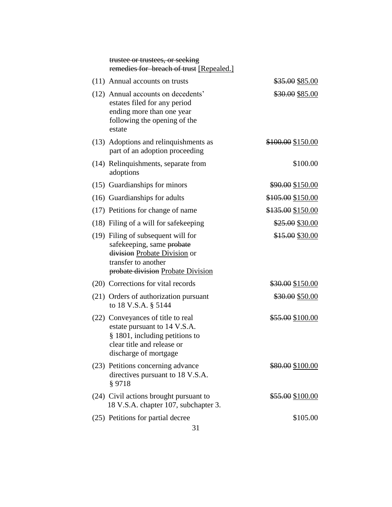| trustee or trustees, or seeking<br>remedies for breach of trust [Repealed.]                                                                                 |                             |
|-------------------------------------------------------------------------------------------------------------------------------------------------------------|-----------------------------|
| (11) Annual accounts on trusts                                                                                                                              | \$35.00 \$85.00             |
| (12) Annual accounts on decedents'<br>estates filed for any period<br>ending more than one year<br>following the opening of the<br>estate                   | \$30.00 \$85.00             |
| (13) Adoptions and relinquishments as<br>part of an adoption proceeding                                                                                     | \$100.00 \$150.00           |
| (14) Relinquishments, separate from<br>adoptions                                                                                                            | \$100.00                    |
| (15) Guardianships for minors                                                                                                                               | \$90.00 \$150.00            |
| (16) Guardianships for adults                                                                                                                               | \$105.00 \$150.00           |
| (17) Petitions for change of name                                                                                                                           | \$135.00 \$150.00           |
| (18) Filing of a will for safekeeping                                                                                                                       | \$25.00 \$30.00             |
| (19) Filing of subsequent will for<br>safekeeping, same probate<br>division Probate Division or<br>transfer to another<br>probate division Probate Division | \$15.00 \$30.00             |
| (20) Corrections for vital records                                                                                                                          | \$30.00 \$150.00            |
| (21) Orders of authorization pursuant<br>to 18 V.S.A. § 5144                                                                                                | \$30.00 \$50.00             |
| (22) Conveyances of title to real<br>estate pursuant to 14 V.S.A.<br>§ 1801, including petitions to<br>clear title and release or<br>discharge of mortgage  | \$55.00 \$100.00            |
| (23) Petitions concerning advance<br>directives pursuant to 18 V.S.A.<br>§ 9718                                                                             | <del>\$80.00</del> \$100.00 |
| (24) Civil actions brought pursuant to<br>18 V.S.A. chapter 107, subchapter 3.                                                                              | \$55.00 \$100.00            |
| (25) Petitions for partial decree                                                                                                                           | \$105.00                    |
|                                                                                                                                                             |                             |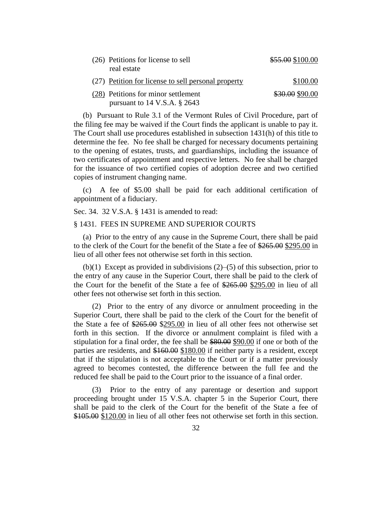| (26) Petitions for license to sell<br>real estate                     | \$55.00 \$100.00 |
|-----------------------------------------------------------------------|------------------|
| (27) Petition for license to sell personal property                   | \$100.00         |
| (28) Petitions for minor settlement<br>pursuant to $14$ V.S.A. § 2643 | \$30.00 \$90.00  |

(b) Pursuant to Rule 3.1 of the Vermont Rules of Civil Procedure, part of the filing fee may be waived if the Court finds the applicant is unable to pay it. The Court shall use procedures established in subsection 1431(h) of this title to determine the fee. No fee shall be charged for necessary documents pertaining to the opening of estates, trusts, and guardianships, including the issuance of two certificates of appointment and respective letters. No fee shall be charged for the issuance of two certified copies of adoption decree and two certified copies of instrument changing name.

(c) A fee of \$5.00 shall be paid for each additional certification of appointment of a fiduciary.

Sec. 34. 32 V.S.A. § 1431 is amended to read:

#### § 1431. FEES IN SUPREME AND SUPERIOR COURTS

(a) Prior to the entry of any cause in the Supreme Court, there shall be paid to the clerk of the Court for the benefit of the State a fee of \$265.00 \$295.00 in lieu of all other fees not otherwise set forth in this section.

(b)(1) Except as provided in subdivisions (2)–(5) of this subsection, prior to the entry of any cause in the Superior Court, there shall be paid to the clerk of the Court for the benefit of the State a fee of \$265.00 \$295.00 in lieu of all other fees not otherwise set forth in this section.

(2) Prior to the entry of any divorce or annulment proceeding in the Superior Court, there shall be paid to the clerk of the Court for the benefit of the State a fee of \$265.00 \$295.00 in lieu of all other fees not otherwise set forth in this section. If the divorce or annulment complaint is filed with a stipulation for a final order, the fee shall be \$80.00 \$90.00 if one or both of the parties are residents, and \$160.00 \$180.00 if neither party is a resident, except that if the stipulation is not acceptable to the Court or if a matter previously agreed to becomes contested, the difference between the full fee and the reduced fee shall be paid to the Court prior to the issuance of a final order.

Prior to the entry of any parentage or desertion and support proceeding brought under 15 V.S.A. chapter 5 in the Superior Court, there shall be paid to the clerk of the Court for the benefit of the State a fee of \$105.00 \$120.00 in lieu of all other fees not otherwise set forth in this section.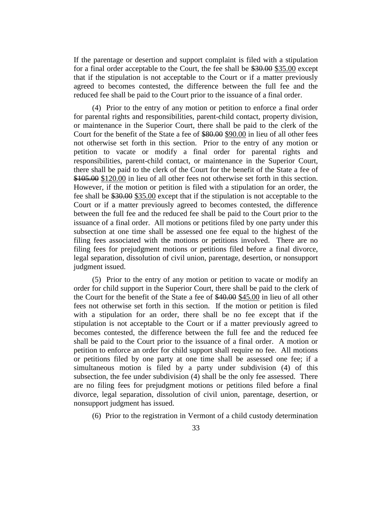If the parentage or desertion and support complaint is filed with a stipulation for a final order acceptable to the Court, the fee shall be \$30.00 \$35.00 except that if the stipulation is not acceptable to the Court or if a matter previously agreed to becomes contested, the difference between the full fee and the reduced fee shall be paid to the Court prior to the issuance of a final order.

(4) Prior to the entry of any motion or petition to enforce a final order for parental rights and responsibilities, parent-child contact, property division, or maintenance in the Superior Court, there shall be paid to the clerk of the Court for the benefit of the State a fee of \$80.00 \$90.00 in lieu of all other fees not otherwise set forth in this section. Prior to the entry of any motion or petition to vacate or modify a final order for parental rights and responsibilities, parent-child contact, or maintenance in the Superior Court, there shall be paid to the clerk of the Court for the benefit of the State a fee of \$105.00 \$120.00 in lieu of all other fees not otherwise set forth in this section. However, if the motion or petition is filed with a stipulation for an order, the fee shall be \$30.00 \$35.00 except that if the stipulation is not acceptable to the Court or if a matter previously agreed to becomes contested, the difference between the full fee and the reduced fee shall be paid to the Court prior to the issuance of a final order. All motions or petitions filed by one party under this subsection at one time shall be assessed one fee equal to the highest of the filing fees associated with the motions or petitions involved. There are no filing fees for prejudgment motions or petitions filed before a final divorce, legal separation, dissolution of civil union, parentage, desertion, or nonsupport judgment issued.

(5) Prior to the entry of any motion or petition to vacate or modify an order for child support in the Superior Court, there shall be paid to the clerk of the Court for the benefit of the State a fee of \$40.00 \$45.00 in lieu of all other fees not otherwise set forth in this section. If the motion or petition is filed with a stipulation for an order, there shall be no fee except that if the stipulation is not acceptable to the Court or if a matter previously agreed to becomes contested, the difference between the full fee and the reduced fee shall be paid to the Court prior to the issuance of a final order. A motion or petition to enforce an order for child support shall require no fee. All motions or petitions filed by one party at one time shall be assessed one fee; if a simultaneous motion is filed by a party under subdivision (4) of this subsection, the fee under subdivision (4) shall be the only fee assessed. There are no filing fees for prejudgment motions or petitions filed before a final divorce, legal separation, dissolution of civil union, parentage, desertion, or nonsupport judgment has issued.

(6) Prior to the registration in Vermont of a child custody determination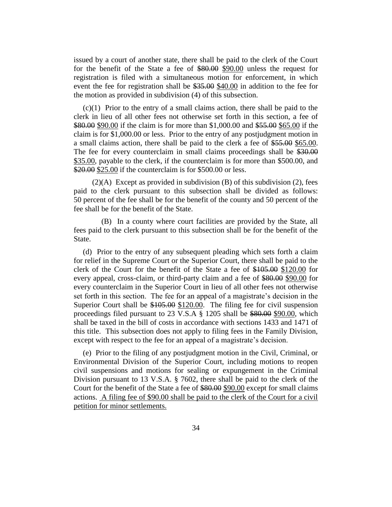issued by a court of another state, there shall be paid to the clerk of the Court for the benefit of the State a fee of \$80.00 \$90.00 unless the request for registration is filed with a simultaneous motion for enforcement, in which event the fee for registration shall be \$35.00 \$40.00 in addition to the fee for the motion as provided in subdivision (4) of this subsection.

(c)(1) Prior to the entry of a small claims action, there shall be paid to the clerk in lieu of all other fees not otherwise set forth in this section, a fee of \$80.00 \$90.00 if the claim is for more than \$1,000.00 and \$55.00 \$65.00 if the claim is for \$1,000.00 or less. Prior to the entry of any postjudgment motion in a small claims action, there shall be paid to the clerk a fee of \$55.00 \$65.00. The fee for every counterclaim in small claims proceedings shall be \$30.00 \$35.00, payable to the clerk, if the counterclaim is for more than \$500.00, and \$20.00 \$25.00 if the counterclaim is for \$500.00 or less.

 $(2)(A)$  Except as provided in subdivision  $(B)$  of this subdivision  $(2)$ , fees paid to the clerk pursuant to this subsection shall be divided as follows: 50 percent of the fee shall be for the benefit of the county and 50 percent of the fee shall be for the benefit of the State.

(B) In a county where court facilities are provided by the State, all fees paid to the clerk pursuant to this subsection shall be for the benefit of the State.

(d) Prior to the entry of any subsequent pleading which sets forth a claim for relief in the Supreme Court or the Superior Court, there shall be paid to the clerk of the Court for the benefit of the State a fee of \$105.00 \$120.00 for every appeal, cross-claim, or third-party claim and a fee of \$80.00 \$90.00 for every counterclaim in the Superior Court in lieu of all other fees not otherwise set forth in this section. The fee for an appeal of a magistrate's decision in the Superior Court shall be \$105.00 \$120.00. The filing fee for civil suspension proceedings filed pursuant to 23 V.S.A § 1205 shall be \$80.00 \$90.00, which shall be taxed in the bill of costs in accordance with sections 1433 and 1471 of this title. This subsection does not apply to filing fees in the Family Division, except with respect to the fee for an appeal of a magistrate's decision.

(e) Prior to the filing of any postjudgment motion in the Civil, Criminal, or Environmental Division of the Superior Court, including motions to reopen civil suspensions and motions for sealing or expungement in the Criminal Division pursuant to 13 V.S.A. § 7602, there shall be paid to the clerk of the Court for the benefit of the State a fee of \$80.00 \$90.00 except for small claims actions. A filing fee of \$90.00 shall be paid to the clerk of the Court for a civil petition for minor settlements.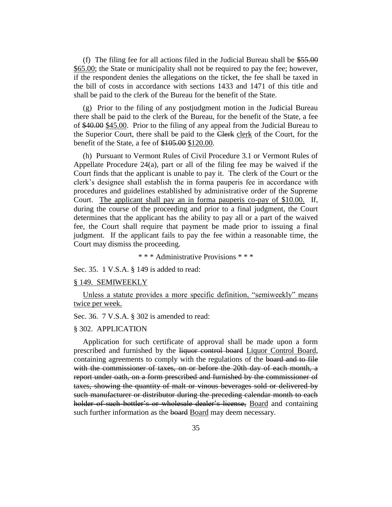(f) The filing fee for all actions filed in the Judicial Bureau shall be \$55.00 \$65.00; the State or municipality shall not be required to pay the fee; however, if the respondent denies the allegations on the ticket, the fee shall be taxed in the bill of costs in accordance with sections 1433 and 1471 of this title and shall be paid to the clerk of the Bureau for the benefit of the State.

(g) Prior to the filing of any postjudgment motion in the Judicial Bureau there shall be paid to the clerk of the Bureau, for the benefit of the State, a fee of \$40.00 \$45.00. Prior to the filing of any appeal from the Judicial Bureau to the Superior Court, there shall be paid to the Clerk clerk of the Court, for the benefit of the State, a fee of \$105.00 \$120.00.

(h) Pursuant to Vermont Rules of Civil Procedure 3.1 or Vermont Rules of Appellate Procedure 24(a), part or all of the filing fee may be waived if the Court finds that the applicant is unable to pay it. The clerk of the Court or the clerk's designee shall establish the in forma pauperis fee in accordance with procedures and guidelines established by administrative order of the Supreme Court. The applicant shall pay an in forma pauperis co-pay of \$10.00. If, during the course of the proceeding and prior to a final judgment, the Court determines that the applicant has the ability to pay all or a part of the waived fee, the Court shall require that payment be made prior to issuing a final judgment. If the applicant fails to pay the fee within a reasonable time, the Court may dismiss the proceeding.

\* \* \* Administrative Provisions \* \* \*

Sec. 35. 1 V.S.A. § 149 is added to read:

#### § 149. SEMIWEEKLY

Unless a statute provides a more specific definition, "semiweekly" means twice per week.

Sec. 36. 7 V.S.A. § 302 is amended to read:

#### § 302. APPLICATION

Application for such certificate of approval shall be made upon a form prescribed and furnished by the liquor control board Liquor Control Board, containing agreements to comply with the regulations of the board and to file with the commissioner of taxes, on or before the 20th day of each month, a report under oath, on a form prescribed and furnished by the commissioner of taxes, showing the quantity of malt or vinous beverages sold or delivered by such manufacturer or distributor during the preceding calendar month to each holder of such bottler's or wholesale dealer's license, Board and containing such further information as the board Board may deem necessary.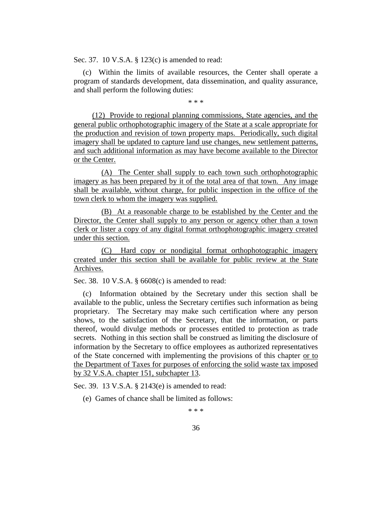Sec. 37. 10 V.S.A. § 123(c) is amended to read:

(c) Within the limits of available resources, the Center shall operate a program of standards development, data dissemination, and quality assurance, and shall perform the following duties:

\* \* \*

(12) Provide to regional planning commissions, State agencies, and the general public orthophotographic imagery of the State at a scale appropriate for the production and revision of town property maps. Periodically, such digital imagery shall be updated to capture land use changes, new settlement patterns, and such additional information as may have become available to the Director or the Center.

(A) The Center shall supply to each town such orthophotographic imagery as has been prepared by it of the total area of that town. Any image shall be available, without charge, for public inspection in the office of the town clerk to whom the imagery was supplied.

(B) At a reasonable charge to be established by the Center and the Director, the Center shall supply to any person or agency other than a town clerk or lister a copy of any digital format orthophotographic imagery created under this section.

(C) Hard copy or nondigital format orthophotographic imagery created under this section shall be available for public review at the State Archives.

Sec. 38. 10 V.S.A. § 6608(c) is amended to read:

(c) Information obtained by the Secretary under this section shall be available to the public, unless the Secretary certifies such information as being proprietary. The Secretary may make such certification where any person shows, to the satisfaction of the Secretary, that the information, or parts thereof, would divulge methods or processes entitled to protection as trade secrets. Nothing in this section shall be construed as limiting the disclosure of information by the Secretary to office employees as authorized representatives of the State concerned with implementing the provisions of this chapter or to the Department of Taxes for purposes of enforcing the solid waste tax imposed by 32 V.S.A. chapter 151, subchapter 13.

Sec. 39. 13 V.S.A. § 2143(e) is amended to read:

(e) Games of chance shall be limited as follows:

\* \* \*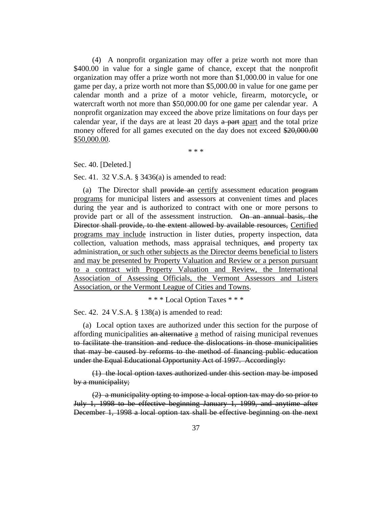(4) A nonprofit organization may offer a prize worth not more than \$400.00 in value for a single game of chance, except that the nonprofit organization may offer a prize worth not more than \$1,000.00 in value for one game per day, a prize worth not more than \$5,000.00 in value for one game per calendar month and a prize of a motor vehicle, firearm, motorcycle, or watercraft worth not more than \$50,000.00 for one game per calendar year. A nonprofit organization may exceed the above prize limitations on four days per calendar year, if the days are at least 20 days  $\frac{a}{b}$  part apart and the total prize money offered for all games executed on the day does not exceed \$20,000.00 \$50,000.00.

\* \* \*

Sec. 40. [Deleted.]

Sec. 41. 32 V.S.A. § 3436(a) is amended to read:

(a) The Director shall provide an certify assessment education program programs for municipal listers and assessors at convenient times and places during the year and is authorized to contract with one or more persons to provide part or all of the assessment instruction. On an annual basis, the Director shall provide, to the extent allowed by available resources, Certified programs may include instruction in lister duties, property inspection, data collection, valuation methods, mass appraisal techniques, and property tax administration, or such other subjects as the Director deems beneficial to listers and may be presented by Property Valuation and Review or a person pursuant to a contract with Property Valuation and Review, the International Association of Assessing Officials, the Vermont Assessors and Listers Association, or the Vermont League of Cities and Towns.

\* \* \* Local Option Taxes \* \* \*

Sec. 42. 24 V.S.A. § 138(a) is amended to read:

(a) Local option taxes are authorized under this section for the purpose of affording municipalities an alternative a method of raising municipal revenues to facilitate the transition and reduce the dislocations in those municipalities that may be caused by reforms to the method of financing public education under the Equal Educational Opportunity Act of 1997. Accordingly:

(1) the local option taxes authorized under this section may be imposed by a municipality;

(2) a municipality opting to impose a local option tax may do so prior to July 1, 1998 to be effective beginning January 1, 1999, and anytime after December 1, 1998 a local option tax shall be effective beginning on the next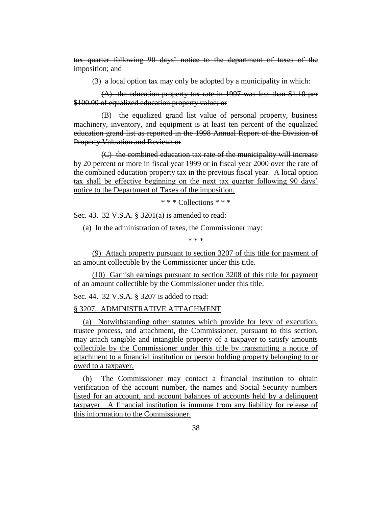tax quarter following 90 days' notice to the department of taxes of the imposition; and

(3) a local option tax may only be adopted by a municipality in which:

(A) the education property tax rate in 1997 was less than \$1.10 per \$100.00 of equalized education property value; or

(B) the equalized grand list value of personal property, business machinery, inventory, and equipment is at least ten percent of the equalized education grand list as reported in the 1998 Annual Report of the Division of Property Valuation and Review; or

(C) the combined education tax rate of the municipality will increase by 20 percent or more in fiscal year 1999 or in fiscal year 2000 over the rate of the combined education property tax in the previous fiscal year. A local option tax shall be effective beginning on the next tax quarter following 90 days' notice to the Department of Taxes of the imposition.

\* \* \* Collections \* \* \*

Sec. 43. 32 V.S.A. § 3201(a) is amended to read:

(a) In the administration of taxes, the Commissioner may:

\* \* \*

(9) Attach property pursuant to section 3207 of this title for payment of an amount collectible by the Commissioner under this title.

(10) Garnish earnings pursuant to section 3208 of this title for payment of an amount collectible by the Commissioner under this title.

Sec. 44. 32 V.S.A. § 3207 is added to read:

#### § 3207. ADMINISTRATIVE ATTACHMENT

(a) Notwithstanding other statutes which provide for levy of execution, trustee process, and attachment, the Commissioner, pursuant to this section, may attach tangible and intangible property of a taxpayer to satisfy amounts collectible by the Commissioner under this title by transmitting a notice of attachment to a financial institution or person holding property belonging to or owed to a taxpayer.

(b) The Commissioner may contact a financial institution to obtain verification of the account number, the names and Social Security numbers listed for an account, and account balances of accounts held by a delinquent taxpayer. A financial institution is immune from any liability for release of this information to the Commissioner.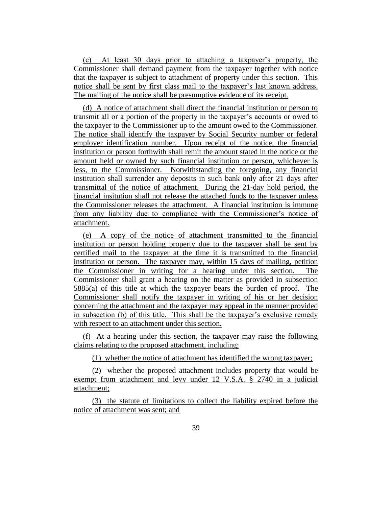(c) At least 30 days prior to attaching a taxpayer's property, the Commissioner shall demand payment from the taxpayer together with notice that the taxpayer is subject to attachment of property under this section. This notice shall be sent by first class mail to the taxpayer's last known address. The mailing of the notice shall be presumptive evidence of its receipt.

(d) A notice of attachment shall direct the financial institution or person to transmit all or a portion of the property in the taxpayer's accounts or owed to the taxpayer to the Commissioner up to the amount owed to the Commissioner. The notice shall identify the taxpayer by Social Security number or federal employer identification number. Upon receipt of the notice, the financial institution or person forthwith shall remit the amount stated in the notice or the amount held or owned by such financial institution or person, whichever is less, to the Commissioner. Notwithstanding the foregoing, any financial institution shall surrender any deposits in such bank only after 21 days after transmittal of the notice of attachment. During the 21-day hold period, the financial insitution shall not release the attached funds to the taxpayer unless the Commissioner releases the attachment. A financial institution is immune from any liability due to compliance with the Commissioner's notice of attachment.

(e) A copy of the notice of attachment transmitted to the financial institution or person holding property due to the taxpayer shall be sent by certified mail to the taxpayer at the time it is transmitted to the financial institution or person. The taxpayer may, within 15 days of mailing, petition the Commissioner in writing for a hearing under this section. The Commissioner shall grant a hearing on the matter as provided in subsection 5885(a) of this title at which the taxpayer bears the burden of proof. The Commissioner shall notify the taxpayer in writing of his or her decision concerning the attachment and the taxpayer may appeal in the manner provided in subsection (b) of this title. This shall be the taxpayer's exclusive remedy with respect to an attachment under this section.

(f) At a hearing under this section, the taxpayer may raise the following claims relating to the proposed attachment, including;

(1) whether the notice of attachment has identified the wrong taxpayer;

(2) whether the proposed attachment includes property that would be exempt from attachment and levy under 12 V.S.A. § 2740 in a judicial attachment;

(3) the statute of limitations to collect the liability expired before the notice of attachment was sent; and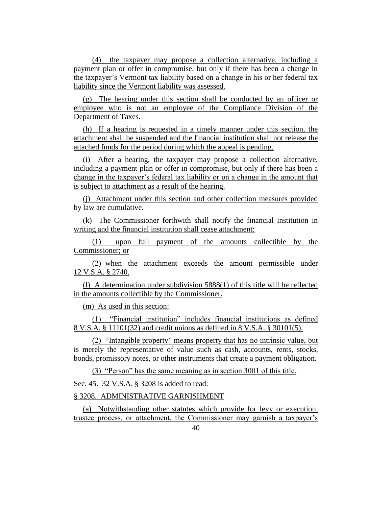(4) the taxpayer may propose a collection alternative, including a payment plan or offer in compromise, but only if there has been a change in the taxpayer's Vermont tax liability based on a change in his or her federal tax liability since the Vermont liability was assessed.

(g) The hearing under this section shall be conducted by an officer or employee who is not an employee of the Compliance Division of the Department of Taxes.

(h) If a hearing is requested in a timely manner under this section, the attachment shall be suspended and the financial institution shall not release the attached funds for the period during which the appeal is pending.

(i) After a hearing, the taxpayer may propose a collection alternative, including a payment plan or offer in compromise, but only if there has been a change in the taxpayer's federal tax liability or on a change in the amount that is subject to attachment as a result of the hearing.

(j) Attachment under this section and other collection measures provided by law are cumulative.

(k) The Commissioner forthwith shall notify the financial institution in writing and the financial institution shall cease attachment:

(1) upon full payment of the amounts collectible by the Commissioner; or

(2) when the attachment exceeds the amount permissible under 12 V.S.A. § 2740.

(l) A determination under subdivision 5888(1) of this title will be reflected in the amounts collectible by the Commissioner.

(m) As used in this section:

(1) "Financial institution" includes financial institutions as defined 8 V.S.A. § 11101(32) and credit unions as defined in 8 V.S.A. § 30101(5).

(2) "Intangible property" means property that has no intrinsic value, but is merely the representative of value such as cash, accounts, rents, stocks, bonds, promissory notes, or other instruments that create a payment obligation.

(3) "Person" has the same meaning as in section 3001 of this title.

Sec. 45. 32 V.S.A. § 3208 is added to read:

§ 3208. ADMINISTRATIVE GARNISHMENT

(a) Notwithstanding other statutes which provide for levy or execution, trustee process, or attachment, the Commissioner may garnish a taxpayer's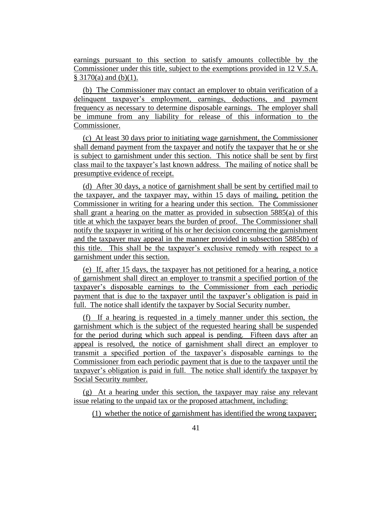earnings pursuant to this section to satisfy amounts collectible by the Commissioner under this title, subject to the exemptions provided in 12 V.S.A.  $§ 3170(a)$  and (b)(1).

(b) The Commissioner may contact an employer to obtain verification of a delinquent taxpayer's employment, earnings, deductions, and payment frequency as necessary to determine disposable earnings. The employer shall be immune from any liability for release of this information to the Commissioner.

(c) At least 30 days prior to initiating wage garnishment, the Commissioner shall demand payment from the taxpayer and notify the taxpayer that he or she is subject to garnishment under this section. This notice shall be sent by first class mail to the taxpayer's last known address. The mailing of notice shall be presumptive evidence of receipt.

(d) After 30 days, a notice of garnishment shall be sent by certified mail to the taxpayer, and the taxpayer may, within 15 days of mailing, petition the Commissioner in writing for a hearing under this section. The Commissioner shall grant a hearing on the matter as provided in subsection 5885(a) of this title at which the taxpayer bears the burden of proof. The Commissioner shall notify the taxpayer in writing of his or her decision concerning the garnishment and the taxpayer may appeal in the manner provided in subsection 5885(b) of this title. This shall be the taxpayer's exclusive remedy with respect to a garnishment under this section.

(e) If, after 15 days, the taxpayer has not petitioned for a hearing, a notice of garnishment shall direct an employer to transmit a specified portion of the taxpayer's disposable earnings to the Commissioner from each periodic payment that is due to the taxpayer until the taxpayer's obligation is paid in full. The notice shall identify the taxpayer by Social Security number.

(f) If a hearing is requested in a timely manner under this section, the garnishment which is the subject of the requested hearing shall be suspended for the period during which such appeal is pending. Fifteen days after an appeal is resolved, the notice of garnishment shall direct an employer to transmit a specified portion of the taxpayer's disposable earnings to the Commissioner from each periodic payment that is due to the taxpayer until the taxpayer's obligation is paid in full. The notice shall identify the taxpayer by Social Security number.

(g) At a hearing under this section, the taxpayer may raise any relevant issue relating to the unpaid tax or the proposed attachment, including:

(1) whether the notice of garnishment has identified the wrong taxpayer;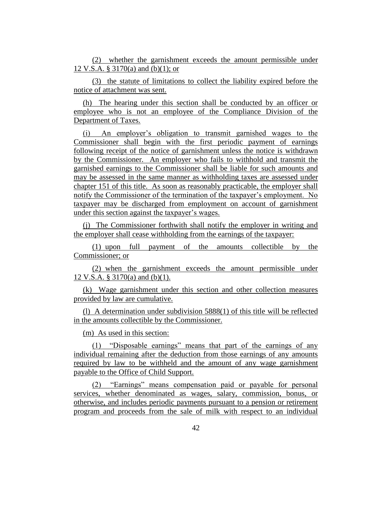(2) whether the garnishment exceeds the amount permissible under 12 V.S.A. § 3170(a) and (b)(1); or

(3) the statute of limitations to collect the liability expired before the notice of attachment was sent.

(h) The hearing under this section shall be conducted by an officer or employee who is not an employee of the Compliance Division of the Department of Taxes.

(i) An employer's obligation to transmit garnished wages to the Commissioner shall begin with the first periodic payment of earnings following receipt of the notice of garnishment unless the notice is withdrawn by the Commissioner. An employer who fails to withhold and transmit the garnished earnings to the Commissioner shall be liable for such amounts and may be assessed in the same manner as withholding taxes are assessed under chapter 151 of this title. As soon as reasonably practicable, the employer shall notify the Commissioner of the termination of the taxpayer's employment. No taxpayer may be discharged from employment on account of garnishment under this section against the taxpayer's wages.

(j) The Commissioner forthwith shall notify the employer in writing and the employer shall cease withholding from the earnings of the taxpayer:

(1) upon full payment of the amounts collectible by the Commissioner; or

(2) when the garnishment exceeds the amount permissible under 12 V.S.A. § 3170(a) and (b)(1).

(k) Wage garnishment under this section and other collection measures provided by law are cumulative.

(l) A determination under subdivision 5888(1) of this title will be reflected in the amounts collectible by the Commissioner.

(m) As used in this section:

(1) "Disposable earnings" means that part of the earnings of any individual remaining after the deduction from those earnings of any amounts required by law to be withheld and the amount of any wage garnishment payable to the Office of Child Support.

(2) "Earnings" means compensation paid or payable for personal services, whether denominated as wages, salary, commission, bonus, or otherwise, and includes periodic payments pursuant to a pension or retirement program and proceeds from the sale of milk with respect to an individual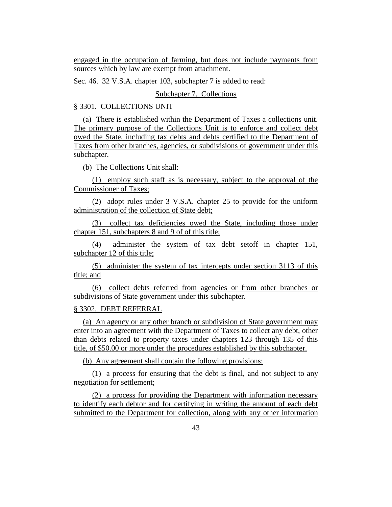engaged in the occupation of farming, but does not include payments from sources which by law are exempt from attachment.

Sec. 46. 32 V.S.A. chapter 103, subchapter 7 is added to read:

Subchapter 7. Collections

#### § 3301. COLLECTIONS UNIT

(a) There is established within the Department of Taxes a collections unit. The primary purpose of the Collections Unit is to enforce and collect debt owed the State, including tax debts and debts certified to the Department of Taxes from other branches, agencies, or subdivisions of government under this subchapter.

(b) The Collections Unit shall:

(1) employ such staff as is necessary, subject to the approval of the Commissioner of Taxes;

(2) adopt rules under 3 V.S.A. chapter 25 to provide for the uniform administration of the collection of State debt;

(3) collect tax deficiencies owed the State, including those under chapter 151, subchapters 8 and 9 of of this title;

(4) administer the system of tax debt setoff in chapter 151, subchapter 12 of this title;

(5) administer the system of tax intercepts under section 3113 of this title; and

(6) collect debts referred from agencies or from other branches or subdivisions of State government under this subchapter.

#### § 3302. DEBT REFERRAL

(a) An agency or any other branch or subdivision of State government may enter into an agreement with the Department of Taxes to collect any debt, other than debts related to property taxes under chapters 123 through 135 of this title, of \$50.00 or more under the procedures established by this subchapter.

(b) Any agreement shall contain the following provisions:

(1) a process for ensuring that the debt is final, and not subject to any negotiation for settlement;

(2) a process for providing the Department with information necessary to identify each debtor and for certifying in writing the amount of each debt submitted to the Department for collection, along with any other information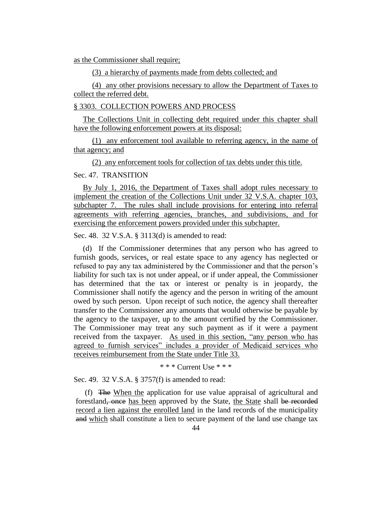as the Commissioner shall require;

(3) a hierarchy of payments made from debts collected; and

(4) any other provisions necessary to allow the Department of Taxes to collect the referred debt.

#### § 3303. COLLECTION POWERS AND PROCESS

The Collections Unit in collecting debt required under this chapter shall have the following enforcement powers at its disposal:

(1) any enforcement tool available to referring agency, in the name of that agency; and

(2) any enforcement tools for collection of tax debts under this title.

Sec. 47. TRANSITION

By July 1, 2016, the Department of Taxes shall adopt rules necessary to implement the creation of the Collections Unit under 32 V.S.A. chapter 103, subchapter 7. The rules shall include provisions for entering into referral agreements with referring agencies, branches, and subdivisions, and for exercising the enforcement powers provided under this subchapter.

Sec. 48. 32 V.S.A. § 3113(d) is amended to read:

(d) If the Commissioner determines that any person who has agreed to furnish goods, services, or real estate space to any agency has neglected or refused to pay any tax administered by the Commissioner and that the person's liability for such tax is not under appeal, or if under appeal, the Commissioner has determined that the tax or interest or penalty is in jeopardy, the Commissioner shall notify the agency and the person in writing of the amount owed by such person. Upon receipt of such notice, the agency shall thereafter transfer to the Commissioner any amounts that would otherwise be payable by the agency to the taxpayer, up to the amount certified by the Commissioner. The Commissioner may treat any such payment as if it were a payment received from the taxpayer. As used in this section, "any person who has agreed to furnish services" includes a provider of Medicaid services who receives reimbursement from the State under Title 33.

\* \* \* Current Use \* \* \*

Sec. 49. 32 V.S.A. § 3757(f) is amended to read:

(f) The When the application for use value appraisal of agricultural and forestland, once has been approved by the State, the State shall be recorded record a lien against the enrolled land in the land records of the municipality and which shall constitute a lien to secure payment of the land use change tax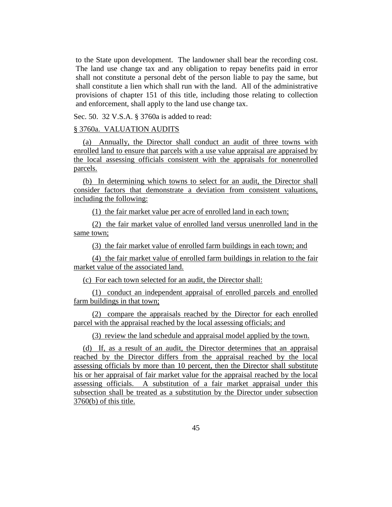to the State upon development. The landowner shall bear the recording cost. The land use change tax and any obligation to repay benefits paid in error shall not constitute a personal debt of the person liable to pay the same, but shall constitute a lien which shall run with the land. All of the administrative provisions of chapter 151 of this title, including those relating to collection and enforcement, shall apply to the land use change tax.

Sec. 50. 32 V.S.A. § 3760a is added to read:

#### § 3760a. VALUATION AUDITS

(a) Annually, the Director shall conduct an audit of three towns with enrolled land to ensure that parcels with a use value appraisal are appraised by the local assessing officials consistent with the appraisals for nonenrolled parcels.

(b) In determining which towns to select for an audit, the Director shall consider factors that demonstrate a deviation from consistent valuations, including the following:

(1) the fair market value per acre of enrolled land in each town;

(2) the fair market value of enrolled land versus unenrolled land in the same town;

(3) the fair market value of enrolled farm buildings in each town; and

(4) the fair market value of enrolled farm buildings in relation to the fair market value of the associated land.

(c) For each town selected for an audit, the Director shall:

(1) conduct an independent appraisal of enrolled parcels and enrolled farm buildings in that town;

(2) compare the appraisals reached by the Director for each enrolled parcel with the appraisal reached by the local assessing officials; and

(3) review the land schedule and appraisal model applied by the town.

(d) If, as a result of an audit, the Director determines that an appraisal reached by the Director differs from the appraisal reached by the local assessing officials by more than 10 percent, then the Director shall substitute his or her appraisal of fair market value for the appraisal reached by the local assessing officials. A substitution of a fair market appraisal under this subsection shall be treated as a substitution by the Director under subsection 3760(b) of this title.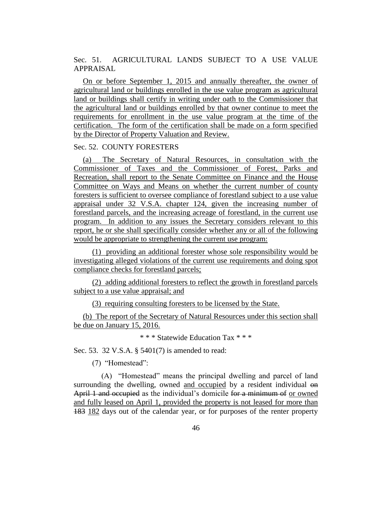Sec. 51. AGRICULTURAL LANDS SUBJECT TO A USE VALUE APPRAISAL

On or before September 1, 2015 and annually thereafter, the owner of agricultural land or buildings enrolled in the use value program as agricultural land or buildings shall certify in writing under oath to the Commissioner that the agricultural land or buildings enrolled by that owner continue to meet the requirements for enrollment in the use value program at the time of the certification. The form of the certification shall be made on a form specified by the Director of Property Valuation and Review.

#### Sec. 52. COUNTY FORESTERS

(a) The Secretary of Natural Resources, in consultation with the Commissioner of Taxes and the Commissioner of Forest, Parks and Recreation, shall report to the Senate Committee on Finance and the House Committee on Ways and Means on whether the current number of county foresters is sufficient to oversee compliance of forestland subject to a use value appraisal under 32 V.S.A. chapter 124, given the increasing number of forestland parcels, and the increasing acreage of forestland, in the current use program. In addition to any issues the Secretary considers relevant to this report, he or she shall specifically consider whether any or all of the following would be appropriate to strengthening the current use program:

(1) providing an additional forester whose sole responsibility would be investigating alleged violations of the current use requirements and doing spot compliance checks for forestland parcels;

(2) adding additional foresters to reflect the growth in forestland parcels subject to a use value appraisal; and

(3) requiring consulting foresters to be licensed by the State.

(b) The report of the Secretary of Natural Resources under this section shall be due on January 15, 2016.

\* \* \* Statewide Education Tax \* \* \*

Sec. 53. 32 V.S.A. § 5401(7) is amended to read:

(7) "Homestead":

(A) "Homestead" means the principal dwelling and parcel of land surrounding the dwelling, owned and occupied by a resident individual  $\Theta$ April 1 and occupied as the individual's domicile for a minimum of or owned and fully leased on April 1, provided the property is not leased for more than 183 182 days out of the calendar year, or for purposes of the renter property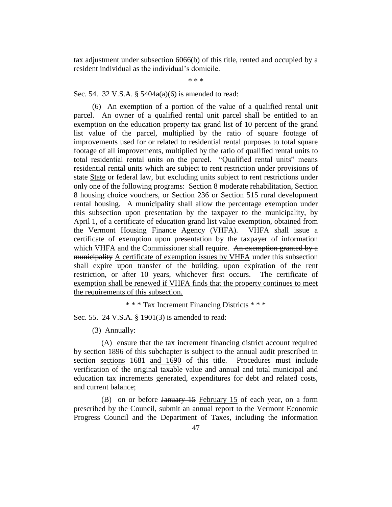tax adjustment under subsection 6066(b) of this title, rented and occupied by a resident individual as the individual's domicile.

\* \* \*

Sec. 54. 32 V.S.A. § 5404a(a)(6) is amended to read:

(6) An exemption of a portion of the value of a qualified rental unit parcel. An owner of a qualified rental unit parcel shall be entitled to an exemption on the education property tax grand list of 10 percent of the grand list value of the parcel, multiplied by the ratio of square footage of improvements used for or related to residential rental purposes to total square footage of all improvements, multiplied by the ratio of qualified rental units to total residential rental units on the parcel. "Qualified rental units" means residential rental units which are subject to rent restriction under provisions of state State or federal law, but excluding units subject to rent restrictions under only one of the following programs: Section 8 moderate rehabilitation, Section 8 housing choice vouchers, or Section 236 or Section 515 rural development rental housing. A municipality shall allow the percentage exemption under this subsection upon presentation by the taxpayer to the municipality, by April 1, of a certificate of education grand list value exemption, obtained from the Vermont Housing Finance Agency (VHFA). VHFA shall issue a certificate of exemption upon presentation by the taxpayer of information which VHFA and the Commissioner shall require. An exemption granted by a municipality A certificate of exemption issues by VHFA under this subsection shall expire upon transfer of the building, upon expiration of the rent restriction, or after 10 years, whichever first occurs. The certificate of exemption shall be renewed if VHFA finds that the property continues to meet the requirements of this subsection.

\* \* \* Tax Increment Financing Districts \* \* \*

Sec. 55. 24 V.S.A. § 1901(3) is amended to read:

(3) Annually:

(A) ensure that the tax increment financing district account required by section 1896 of this subchapter is subject to the annual audit prescribed in section sections 1681 and 1690 of this title. Procedures must include verification of the original taxable value and annual and total municipal and education tax increments generated, expenditures for debt and related costs, and current balance;

(B) on or before January 15 February 15 of each year, on a form prescribed by the Council, submit an annual report to the Vermont Economic Progress Council and the Department of Taxes, including the information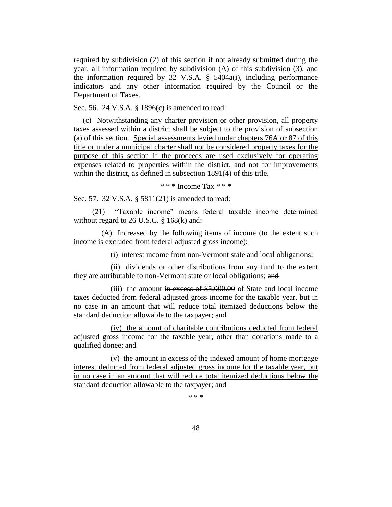required by subdivision (2) of this section if not already submitted during the year, all information required by subdivision (A) of this subdivision (3), and the information required by 32 V.S.A. § 5404a(i), including performance indicators and any other information required by the Council or the Department of Taxes.

Sec. 56. 24 V.S.A. § 1896(c) is amended to read:

(c) Notwithstanding any charter provision or other provision, all property taxes assessed within a district shall be subject to the provision of subsection (a) of this section. Special assessments levied under chapters 76A or 87 of this title or under a municipal charter shall not be considered property taxes for the purpose of this section if the proceeds are used exclusively for operating expenses related to properties within the district, and not for improvements within the district, as defined in subsection 1891(4) of this title.

\* \* \* Income Tax \* \* \*

Sec. 57. 32 V.S.A. § 5811(21) is amended to read:

(21) "Taxable income" means federal taxable income determined without regard to 26 U.S.C. § 168(k) and:

(A) Increased by the following items of income (to the extent such income is excluded from federal adjusted gross income):

(i) interest income from non-Vermont state and local obligations;

(ii) dividends or other distributions from any fund to the extent they are attributable to non-Vermont state or local obligations; and

(iii) the amount in excess of \$5,000.00 of State and local income taxes deducted from federal adjusted gross income for the taxable year, but in no case in an amount that will reduce total itemized deductions below the standard deduction allowable to the taxpayer; and

(iv) the amount of charitable contributions deducted from federal adjusted gross income for the taxable year, other than donations made to a qualified donee; and

(v) the amount in excess of the indexed amount of home mortgage interest deducted from federal adjusted gross income for the taxable year, but in no case in an amount that will reduce total itemized deductions below the standard deduction allowable to the taxpayer; and

\* \* \*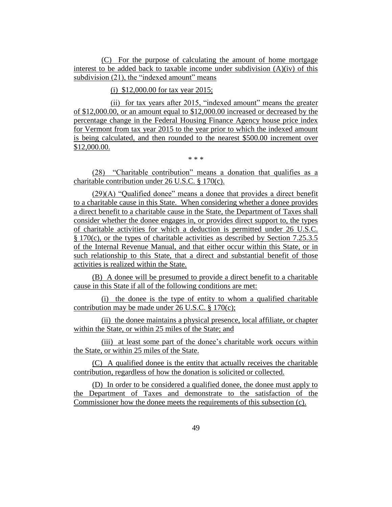(C) For the purpose of calculating the amount of home mortgage interest to be added back to taxable income under subdivision  $(A)(iv)$  of this subdivision (21), the "indexed amount" means

(i) \$12,000.00 for tax year 2015;

(ii) for tax years after 2015, "indexed amount" means the greater of \$12,000.00, or an amount equal to \$12,000.00 increased or decreased by the percentage change in the Federal Housing Finance Agency house price index for Vermont from tax year 2015 to the year prior to which the indexed amount is being calculated, and then rounded to the nearest \$500.00 increment over \$12,000.00.

\* \* \*

(28) "Charitable contribution" means a donation that qualifies as a charitable contribution under 26 U.S.C. § 170(c).

(29)(A) "Qualified donee" means a donee that provides a direct benefit to a charitable cause in this State. When considering whether a donee provides a direct benefit to a charitable cause in the State, the Department of Taxes shall consider whether the donee engages in, or provides direct support to, the types of charitable activities for which a deduction is permitted under 26 U.S.C. § 170(c), or the types of charitable activities as described by Section 7.25.3.5 of the Internal Revenue Manual, and that either occur within this State, or in such relationship to this State, that a direct and substantial benefit of those activities is realized within the State.

(B) A donee will be presumed to provide a direct benefit to a charitable cause in this State if all of the following conditions are met:

(i) the donee is the type of entity to whom a qualified charitable contribution may be made under 26 U.S.C. § 170(c);

(ii) the donee maintains a physical presence, local affiliate, or chapter within the State, or within 25 miles of the State; and

(iii) at least some part of the donee's charitable work occurs within the State, or within 25 miles of the State.

(C) A qualified donee is the entity that actually receives the charitable contribution, regardless of how the donation is solicited or collected.

(D) In order to be considered a qualified donee, the donee must apply to the Department of Taxes and demonstrate to the satisfaction of the Commissioner how the donee meets the requirements of this subsection (c).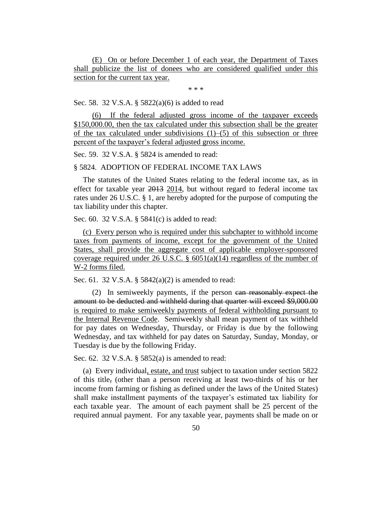(E) On or before December 1 of each year, the Department of Taxes shall publicize the list of donees who are considered qualified under this section for the current tax year.

\* \* \*

Sec. 58. 32 V.S.A. § 5822(a)(6) is added to read

(6) If the federal adjusted gross income of the taxpayer exceeds \$150,000.00, then the tax calculated under this subsection shall be the greater of the tax calculated under subdivisions  $(1)$ –(5) of this subsection or three percent of the taxpayer's federal adjusted gross income.

Sec. 59. 32 V.S.A. § 5824 is amended to read:

§ 5824. ADOPTION OF FEDERAL INCOME TAX LAWS

The statutes of the United States relating to the federal income tax, as in effect for taxable year 2013 2014, but without regard to federal income tax rates under 26 U.S.C. § 1, are hereby adopted for the purpose of computing the tax liability under this chapter.

Sec. 60. 32 V.S.A. § 5841(c) is added to read:

(c) Every person who is required under this subchapter to withhold income taxes from payments of income, except for the government of the United States, shall provide the aggregate cost of applicable employer-sponsored coverage required under 26 U.S.C.  $\S$  6051(a)(14) regardless of the number of W-2 forms filed.

Sec. 61. 32 V.S.A. § 5842(a)(2) is amended to read:

(2) In semiweekly payments, if the person can reasonably expect the amount to be deducted and withheld during that quarter will exceed \$9,000.00 is required to make semiweekly payments of federal withholding pursuant to the Internal Revenue Code. Semiweekly shall mean payment of tax withheld for pay dates on Wednesday, Thursday, or Friday is due by the following Wednesday, and tax withheld for pay dates on Saturday, Sunday, Monday, or Tuesday is due by the following Friday.

Sec. 62. 32 V.S.A. § 5852(a) is amended to read:

(a) Every individual, estate, and trust subject to taxation under section 5822 of this title, (other than a person receiving at least two-thirds of his or her income from farming or fishing as defined under the laws of the United States) shall make installment payments of the taxpayer's estimated tax liability for each taxable year. The amount of each payment shall be 25 percent of the required annual payment. For any taxable year, payments shall be made on or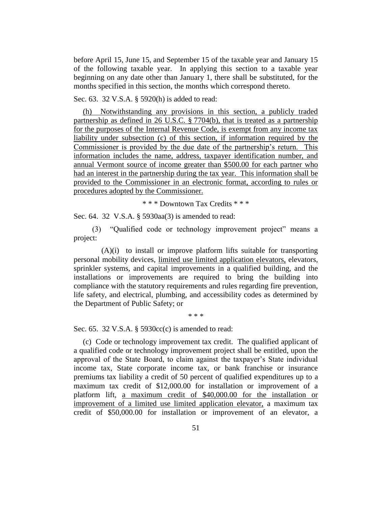before April 15, June 15, and September 15 of the taxable year and January 15 of the following taxable year. In applying this section to a taxable year beginning on any date other than January 1, there shall be substituted, for the months specified in this section, the months which correspond thereto.

Sec. 63. 32 V.S.A. § 5920(h) is added to read:

(h) Notwithstanding any provisions in this section, a publicly traded partnership as defined in 26 U.S.C. § 7704(b), that is treated as a partnership for the purposes of the Internal Revenue Code, is exempt from any income tax liability under subsection (c) of this section, if information required by the Commissioner is provided by the due date of the partnership's return. This information includes the name, address, taxpayer identification number, and annual Vermont source of income greater than \$500.00 for each partner who had an interest in the partnership during the tax year. This information shall be provided to the Commissioner in an electronic format, according to rules or procedures adopted by the Commissioner.

\* \* \* Downtown Tax Credits \* \* \*

Sec. 64. 32 V.S.A. § 5930aa(3) is amended to read:

(3) "Qualified code or technology improvement project" means a project:

 $(A)(i)$  to install or improve platform lifts suitable for transporting personal mobility devices, limited use limited application elevators, elevators, sprinkler systems, and capital improvements in a qualified building, and the installations or improvements are required to bring the building into compliance with the statutory requirements and rules regarding fire prevention, life safety, and electrical, plumbing, and accessibility codes as determined by the Department of Public Safety; or

\* \* \*

Sec. 65. 32 V.S.A. § 5930cc(c) is amended to read:

(c) Code or technology improvement tax credit. The qualified applicant of a qualified code or technology improvement project shall be entitled, upon the approval of the State Board, to claim against the taxpayer's State individual income tax, State corporate income tax, or bank franchise or insurance premiums tax liability a credit of 50 percent of qualified expenditures up to a maximum tax credit of \$12,000.00 for installation or improvement of a platform lift, a maximum credit of \$40,000.00 for the installation or improvement of a limited use limited application elevator, a maximum tax credit of \$50,000.00 for installation or improvement of an elevator, a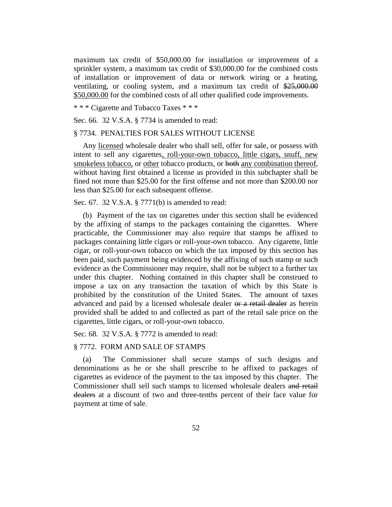maximum tax credit of \$50,000.00 for installation or improvement of a sprinkler system, a maximum tax credit of \$30,000.00 for the combined costs of installation or improvement of data or network wiring or a heating, ventilating, or cooling system, and a maximum tax credit of \$25,000.00 \$50,000.00 for the combined costs of all other qualified code improvements.

\* \* \* Cigarette and Tobacco Taxes \* \* \*

Sec. 66. 32 V.S.A. § 7734 is amended to read:

#### § 7734. PENALTIES FOR SALES WITHOUT LICENSE

Any licensed wholesale dealer who shall sell, offer for sale, or possess with intent to sell any cigarettes, roll-your-own tobacco, little cigars, snuff, new smokeless tobacco, or other tobacco products, or both any combination thereof, without having first obtained a license as provided in this subchapter shall be fined not more than \$25.00 for the first offense and not more than \$200.00 nor less than \$25.00 for each subsequent offense.

#### Sec. 67. 32 V.S.A. § 7771(b) is amended to read:

(b) Payment of the tax on cigarettes under this section shall be evidenced by the affixing of stamps to the packages containing the cigarettes. Where practicable, the Commissioner may also require that stamps be affixed to packages containing little cigars or roll-your-own tobacco. Any cigarette, little cigar, or roll-your-own tobacco on which the tax imposed by this section has been paid, such payment being evidenced by the affixing of such stamp or such evidence as the Commissioner may require, shall not be subject to a further tax under this chapter. Nothing contained in this chapter shall be construed to impose a tax on any transaction the taxation of which by this State is prohibited by the constitution of the United States. The amount of taxes advanced and paid by a licensed wholesale dealer or a retail dealer as herein provided shall be added to and collected as part of the retail sale price on the cigarettes, little cigars, or roll-your-own tobacco.

Sec. 68. 32 V.S.A. § 7772 is amended to read:

#### § 7772. FORM AND SALE OF STAMPS

(a) The Commissioner shall secure stamps of such designs and denominations as he or she shall prescribe to be affixed to packages of cigarettes as evidence of the payment to the tax imposed by this chapter. The Commissioner shall sell such stamps to licensed wholesale dealers and retail dealers at a discount of two and three-tenths percent of their face value for payment at time of sale.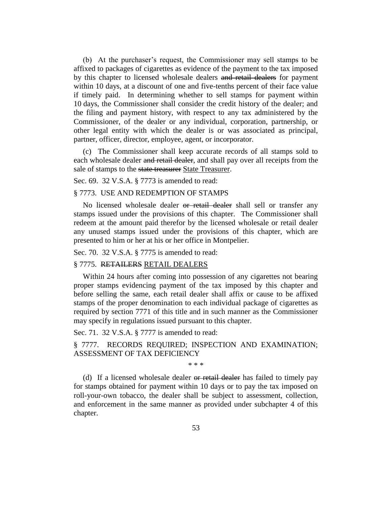(b) At the purchaser's request, the Commissioner may sell stamps to be affixed to packages of cigarettes as evidence of the payment to the tax imposed by this chapter to licensed wholesale dealers and retail dealers for payment within 10 days, at a discount of one and five-tenths percent of their face value if timely paid. In determining whether to sell stamps for payment within 10 days, the Commissioner shall consider the credit history of the dealer; and the filing and payment history, with respect to any tax administered by the Commissioner, of the dealer or any individual, corporation, partnership, or other legal entity with which the dealer is or was associated as principal, partner, officer, director, employee, agent, or incorporator.

(c) The Commissioner shall keep accurate records of all stamps sold to each wholesale dealer and retail dealer, and shall pay over all receipts from the sale of stamps to the state treasurer State Treasurer.

Sec. 69. 32 V.S.A. § 7773 is amended to read:

#### § 7773. USE AND REDEMPTION OF STAMPS

No licensed wholesale dealer or retail dealer shall sell or transfer any stamps issued under the provisions of this chapter. The Commissioner shall redeem at the amount paid therefor by the licensed wholesale or retail dealer any unused stamps issued under the provisions of this chapter, which are presented to him or her at his or her office in Montpelier.

Sec. 70. 32 V.S.A. § 7775 is amended to read:

#### § 7775. RETAILERS RETAIL DEALERS

Within 24 hours after coming into possession of any cigarettes not bearing proper stamps evidencing payment of the tax imposed by this chapter and before selling the same, each retail dealer shall affix or cause to be affixed stamps of the proper denomination to each individual package of cigarettes as required by section 7771 of this title and in such manner as the Commissioner may specify in regulations issued pursuant to this chapter.

Sec. 71. 32 V.S.A. § 7777 is amended to read:

§ 7777. RECORDS REQUIRED; INSPECTION AND EXAMINATION; ASSESSMENT OF TAX DEFICIENCY

\* \* \*

(d) If a licensed wholesale dealer or retail dealer has failed to timely pay for stamps obtained for payment within 10 days or to pay the tax imposed on roll-your-own tobacco, the dealer shall be subject to assessment, collection, and enforcement in the same manner as provided under subchapter 4 of this chapter.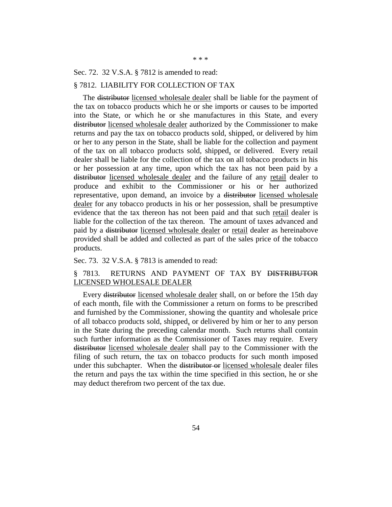Sec. 72. 32 V.S.A. § 7812 is amended to read:

#### § 7812. LIABILITY FOR COLLECTION OF TAX

The <del>distributor</del> licensed wholesale dealer shall be liable for the payment of the tax on tobacco products which he or she imports or causes to be imported into the State, or which he or she manufactures in this State, and every distributor licensed wholesale dealer authorized by the Commissioner to make returns and pay the tax on tobacco products sold, shipped, or delivered by him or her to any person in the State, shall be liable for the collection and payment of the tax on all tobacco products sold, shipped, or delivered. Every retail dealer shall be liable for the collection of the tax on all tobacco products in his or her possession at any time, upon which the tax has not been paid by a distributor licensed wholesale dealer and the failure of any retail dealer to produce and exhibit to the Commissioner or his or her authorized representative, upon demand, an invoice by a distributor licensed wholesale dealer for any tobacco products in his or her possession, shall be presumptive evidence that the tax thereon has not been paid and that such retail dealer is liable for the collection of the tax thereon. The amount of taxes advanced and paid by a distributor licensed wholesale dealer or retail dealer as hereinabove provided shall be added and collected as part of the sales price of the tobacco products.

#### Sec. 73. 32 V.S.A. § 7813 is amended to read:

#### § 7813. RETURNS AND PAYMENT OF TAX BY DISTRIBUTOR LICENSED WHOLESALE DEALER

Every distributor licensed wholesale dealer shall, on or before the 15th day of each month, file with the Commissioner a return on forms to be prescribed and furnished by the Commissioner, showing the quantity and wholesale price of all tobacco products sold, shipped, or delivered by him or her to any person in the State during the preceding calendar month. Such returns shall contain such further information as the Commissioner of Taxes may require. Every distributor licensed wholesale dealer shall pay to the Commissioner with the filing of such return, the tax on tobacco products for such month imposed under this subchapter. When the distributor or licensed wholesale dealer files the return and pays the tax within the time specified in this section, he or she may deduct therefrom two percent of the tax due.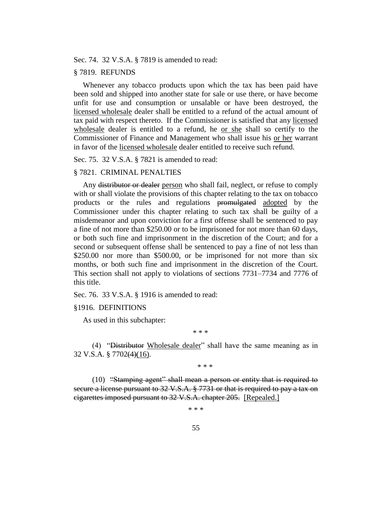Sec. 74. 32 V.S.A. § 7819 is amended to read:

#### § 7819. REFUNDS

Whenever any tobacco products upon which the tax has been paid have been sold and shipped into another state for sale or use there, or have become unfit for use and consumption or unsalable or have been destroyed, the licensed wholesale dealer shall be entitled to a refund of the actual amount of tax paid with respect thereto. If the Commissioner is satisfied that any licensed wholesale dealer is entitled to a refund, he or she shall so certify to the Commissioner of Finance and Management who shall issue his or her warrant in favor of the licensed wholesale dealer entitled to receive such refund.

Sec. 75. 32 V.S.A. § 7821 is amended to read:

#### § 7821. CRIMINAL PENALTIES

Any distributor or dealer person who shall fail, neglect, or refuse to comply with or shall violate the provisions of this chapter relating to the tax on tobacco products or the rules and regulations promulgated adopted by the Commissioner under this chapter relating to such tax shall be guilty of a misdemeanor and upon conviction for a first offense shall be sentenced to pay a fine of not more than \$250.00 or to be imprisoned for not more than 60 days, or both such fine and imprisonment in the discretion of the Court; and for a second or subsequent offense shall be sentenced to pay a fine of not less than \$250.00 nor more than \$500.00, or be imprisoned for not more than six months, or both such fine and imprisonment in the discretion of the Court. This section shall not apply to violations of sections 7731–7734 and 7776 of this title.

Sec. 76. 33 V.S.A. § 1916 is amended to read:

#### §1916. DEFINITIONS

As used in this subchapter:

(4) "Distributor Wholesale dealer" shall have the same meaning as in 32 V.S.A. § 7702(4)(16).

\* \* \*

\* \* \*

(10) "Stamping agent" shall mean a person or entity that is required to secure a license pursuant to 32 V.S.A. § 7731 or that is required to pay a tax on cigarettes imposed pursuant to 32 V.S.A. chapter 205. [Repealed.]

\* \* \*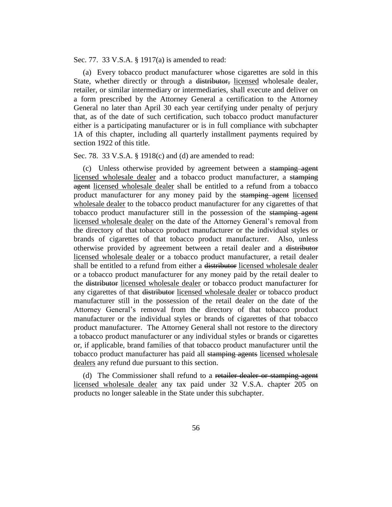Sec. 77. 33 V.S.A. § 1917(a) is amended to read:

(a) Every tobacco product manufacturer whose cigarettes are sold in this State, whether directly or through a <del>distributor,</del> licensed wholesale dealer, retailer, or similar intermediary or intermediaries, shall execute and deliver on a form prescribed by the Attorney General a certification to the Attorney General no later than April 30 each year certifying under penalty of perjury that, as of the date of such certification, such tobacco product manufacturer either is a participating manufacturer or is in full compliance with subchapter 1A of this chapter, including all quarterly installment payments required by section 1922 of this title.

Sec. 78. 33 V.S.A. § 1918(c) and (d) are amended to read:

(c) Unless otherwise provided by agreement between a stamping agent licensed wholesale dealer and a tobacco product manufacturer, a stamping agent licensed wholesale dealer shall be entitled to a refund from a tobacco product manufacturer for any money paid by the stamping agent licensed wholesale dealer to the tobacco product manufacturer for any cigarettes of that tobacco product manufacturer still in the possession of the stamping agent licensed wholesale dealer on the date of the Attorney General's removal from the directory of that tobacco product manufacturer or the individual styles or brands of cigarettes of that tobacco product manufacturer. Also, unless otherwise provided by agreement between a retail dealer and a distributor licensed wholesale dealer or a tobacco product manufacturer, a retail dealer shall be entitled to a refund from either a distributor licensed wholesale dealer or a tobacco product manufacturer for any money paid by the retail dealer to the distributor licensed wholesale dealer or tobacco product manufacturer for any cigarettes of that distributor licensed wholesale dealer or tobacco product manufacturer still in the possession of the retail dealer on the date of the Attorney General's removal from the directory of that tobacco product manufacturer or the individual styles or brands of cigarettes of that tobacco product manufacturer. The Attorney General shall not restore to the directory a tobacco product manufacturer or any individual styles or brands or cigarettes or, if applicable, brand families of that tobacco product manufacturer until the tobacco product manufacturer has paid all stamping agents licensed wholesale dealers any refund due pursuant to this section.

(d) The Commissioner shall refund to a retailer dealer or stamping agent licensed wholesale dealer any tax paid under 32 V.S.A. chapter 205 on products no longer saleable in the State under this subchapter.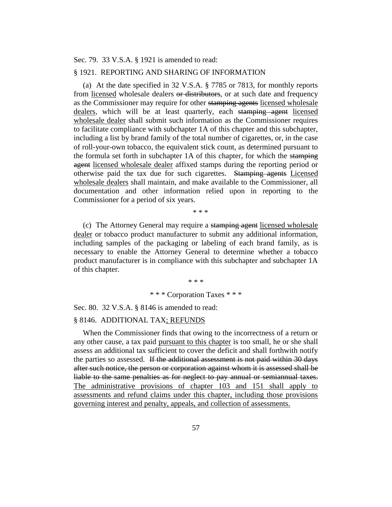Sec. 79. 33 V.S.A. § 1921 is amended to read:

#### § 1921. REPORTING AND SHARING OF INFORMATION

(a) At the date specified in 32 V.S.A. § 7785 or 7813, for monthly reports from licensed wholesale dealers or distributors, or at such date and frequency as the Commissioner may require for other stamping agents licensed wholesale dealers, which will be at least quarterly, each stamping agent licensed wholesale dealer shall submit such information as the Commissioner requires to facilitate compliance with subchapter 1A of this chapter and this subchapter, including a list by brand family of the total number of cigarettes, or, in the case of roll-your-own tobacco, the equivalent stick count, as determined pursuant to the formula set forth in subchapter 1A of this chapter, for which the stamping agent licensed wholesale dealer affixed stamps during the reporting period or otherwise paid the tax due for such cigarettes. Stamping agents Licensed wholesale dealers shall maintain, and make available to the Commissioner, all documentation and other information relied upon in reporting to the Commissioner for a period of six years.

\* \* \*

(c) The Attorney General may require a stamping agent licensed wholesale dealer or tobacco product manufacturer to submit any additional information, including samples of the packaging or labeling of each brand family, as is necessary to enable the Attorney General to determine whether a tobacco product manufacturer is in compliance with this subchapter and subchapter 1A of this chapter.

> \* \* \* \* \* \* Corporation Taxes \* \* \*

Sec. 80. 32 V.S.A. § 8146 is amended to read:

#### § 8146. ADDITIONAL TAX; REFUNDS

When the Commissioner finds that owing to the incorrectness of a return or any other cause, a tax paid pursuant to this chapter is too small, he or she shall assess an additional tax sufficient to cover the deficit and shall forthwith notify the parties so assessed. If the additional assessment is not paid within 30 days after such notice, the person or corporation against whom it is assessed shall be liable to the same penalties as for neglect to pay annual or semiannual taxes. The administrative provisions of chapter 103 and 151 shall apply to assessments and refund claims under this chapter, including those provisions governing interest and penalty, appeals, and collection of assessments.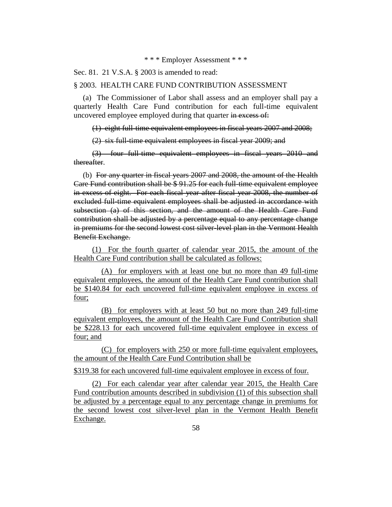\* \* \* Employer Assessment \* \* \*

Sec. 81. 21 V.S.A. § 2003 is amended to read:

#### § 2003. HEALTH CARE FUND CONTRIBUTION ASSESSMENT

(a) The Commissioner of Labor shall assess and an employer shall pay a quarterly Health Care Fund contribution for each full-time equivalent uncovered employee employed during that quarter in excess of:

(1) eight full-time equivalent employees in fiscal years 2007 and 2008;

(2) six full-time equivalent employees in fiscal year 2009; and

(3) four full-time equivalent employees in fiscal years 2010 and thereafter.

(b) For any quarter in fiscal years 2007 and 2008, the amount of the Health Care Fund contribution shall be \$ 91.25 for each full-time equivalent employee in excess of eight. For each fiscal year after fiscal year 2008, the number of excluded full-time equivalent employees shall be adjusted in accordance with subsection (a) of this section, and the amount of the Health Care Fund contribution shall be adjusted by a percentage equal to any percentage change in premiums for the second lowest cost silver-level plan in the Vermont Health Benefit Exchange.

(1) For the fourth quarter of calendar year 2015, the amount of the Health Care Fund contribution shall be calculated as follows:

(A) for employers with at least one but no more than 49 full-time equivalent employees, the amount of the Health Care Fund contribution shall be \$140.84 for each uncovered full-time equivalent employee in excess of four;

(B) for employers with at least 50 but no more than 249 full-time equivalent employees, the amount of the Health Care Fund Contribution shall be \$228.13 for each uncovered full-time equivalent employee in excess of four; and

(C) for employers with 250 or more full-time equivalent employees, the amount of the Health Care Fund Contribution shall be

\$319.38 for each uncovered full-time equivalent employee in excess of four.

(2) For each calendar year after calendar year 2015, the Health Care Fund contribution amounts described in subdivision (1) of this subsection shall be adjusted by a percentage equal to any percentage change in premiums for the second lowest cost silver-level plan in the Vermont Health Benefit Exchange.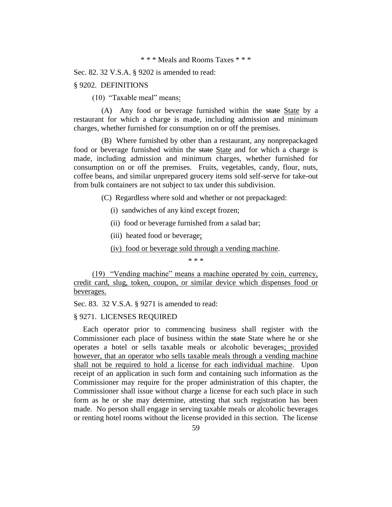\* \* \* Meals and Rooms Taxes \* \* \*

Sec. 82. 32 V.S.A. § 9202 is amended to read:

#### § 9202. DEFINITIONS

(10) "Taxable meal" means:

(A) Any food or beverage furnished within the state State by a restaurant for which a charge is made, including admission and minimum charges, whether furnished for consumption on or off the premises.

(B) Where furnished by other than a restaurant, any nonprepackaged food or beverage furnished within the state State and for which a charge is made, including admission and minimum charges, whether furnished for consumption on or off the premises. Fruits, vegetables, candy, flour, nuts, coffee beans, and similar unprepared grocery items sold self-serve for take-out from bulk containers are not subject to tax under this subdivision.

(C) Regardless where sold and whether or not prepackaged:

- (i) sandwiches of any kind except frozen;
- (ii) food or beverage furnished from a salad bar;
- (iii) heated food or beverage;

(iv) food or beverage sold through a vending machine.

\* \* \*

(19) "Vending machine" means a machine operated by coin, currency, credit card, slug, token, coupon, or similar device which dispenses food or beverages.

Sec. 83. 32 V.S.A. § 9271 is amended to read:

#### § 9271. LICENSES REQUIRED

Each operator prior to commencing business shall register with the Commissioner each place of business within the state State where he or she operates a hotel or sells taxable meals or alcoholic beverages; provided however, that an operator who sells taxable meals through a vending machine shall not be required to hold a license for each individual machine. Upon receipt of an application in such form and containing such information as the Commissioner may require for the proper administration of this chapter, the Commissioner shall issue without charge a license for each such place in such form as he or she may determine, attesting that such registration has been made. No person shall engage in serving taxable meals or alcoholic beverages or renting hotel rooms without the license provided in this section. The license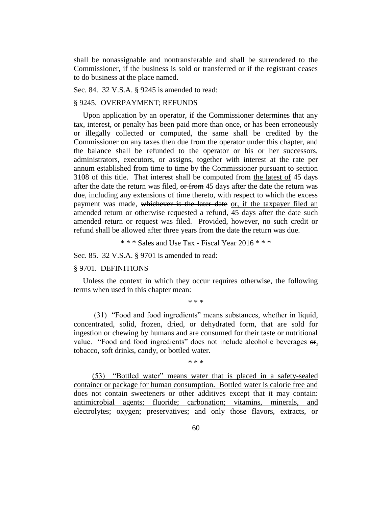shall be nonassignable and nontransferable and shall be surrendered to the Commissioner, if the business is sold or transferred or if the registrant ceases to do business at the place named.

Sec. 84. 32 V.S.A. § 9245 is amended to read:

#### § 9245. OVERPAYMENT; REFUNDS

Upon application by an operator, if the Commissioner determines that any tax, interest, or penalty has been paid more than once, or has been erroneously or illegally collected or computed, the same shall be credited by the Commissioner on any taxes then due from the operator under this chapter, and the balance shall be refunded to the operator or his or her successors, administrators, executors, or assigns, together with interest at the rate per annum established from time to time by the Commissioner pursuant to section 3108 of this title. That interest shall be computed from the latest of 45 days after the date the return was filed, or from 45 days after the date the return was due, including any extensions of time thereto, with respect to which the excess payment was made, whichever is the later date or, if the taxpayer filed an amended return or otherwise requested a refund, 45 days after the date such amended return or request was filed. Provided, however, no such credit or refund shall be allowed after three years from the date the return was due.

\* \* \* Sales and Use Tax - Fiscal Year 2016 \* \* \*

Sec. 85. 32 V.S.A. § 9701 is amended to read:

#### § 9701. DEFINITIONS

Unless the context in which they occur requires otherwise, the following terms when used in this chapter mean:

#### \* \* \*

(31) "Food and food ingredients" means substances, whether in liquid, concentrated, solid, frozen, dried, or dehydrated form, that are sold for ingestion or chewing by humans and are consumed for their taste or nutritional value. "Food and food ingredients" does not include alcoholic beverages  $\theta$ r, tobacco, soft drinks, candy, or bottled water.

\* \* \*

(53) "Bottled water" means water that is placed in a safety-sealed container or package for human consumption. Bottled water is calorie free and does not contain sweeteners or other additives except that it may contain: antimicrobial agents; fluoride; carbonation; vitamins, minerals, and electrolytes; oxygen; preservatives; and only those flavors, extracts, or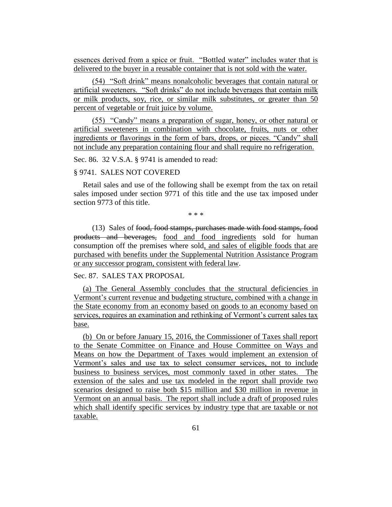essences derived from a spice or fruit. "Bottled water" includes water that is delivered to the buyer in a reusable container that is not sold with the water.

(54) "Soft drink" means nonalcoholic beverages that contain natural or artificial sweeteners. "Soft drinks" do not include beverages that contain milk or milk products, soy, rice, or similar milk substitutes, or greater than 50 percent of vegetable or fruit juice by volume.

(55) "Candy" means a preparation of sugar, honey, or other natural or artificial sweeteners in combination with chocolate, fruits, nuts or other ingredients or flavorings in the form of bars, drops, or pieces. "Candy" shall not include any preparation containing flour and shall require no refrigeration.

Sec. 86. 32 V.S.A. § 9741 is amended to read:

#### § 9741. SALES NOT COVERED

Retail sales and use of the following shall be exempt from the tax on retail sales imposed under section 9771 of this title and the use tax imposed under section 9773 of this title.

\* \* \*

(13) Sales of food, food stamps, purchases made with food stamps, food products and beverages, food and food ingredients sold for human consumption off the premises where sold, and sales of eligible foods that are purchased with benefits under the Supplemental Nutrition Assistance Program or any successor program, consistent with federal law.

#### Sec. 87. SALES TAX PROPOSAL

(a) The General Assembly concludes that the structural deficiencies in Vermont's current revenue and budgeting structure, combined with a change in the State economy from an economy based on goods to an economy based on services, requires an examination and rethinking of Vermont's current sales tax base.

(b) On or before January 15, 2016, the Commissioner of Taxes shall report to the Senate Committee on Finance and House Committee on Ways and Means on how the Department of Taxes would implement an extension of Vermont's sales and use tax to select consumer services, not to include business to business services, most commonly taxed in other states. The extension of the sales and use tax modeled in the report shall provide two scenarios designed to raise both \$15 million and \$30 million in revenue in Vermont on an annual basis. The report shall include a draft of proposed rules which shall identify specific services by industry type that are taxable or not taxable.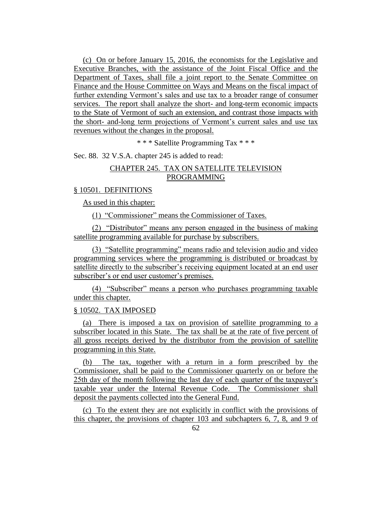(c) On or before January 15, 2016, the economists for the Legislative and Executive Branches, with the assistance of the Joint Fiscal Office and the Department of Taxes, shall file a joint report to the Senate Committee on Finance and the House Committee on Ways and Means on the fiscal impact of further extending Vermont's sales and use tax to a broader range of consumer services. The report shall analyze the short- and long-term economic impacts to the State of Vermont of such an extension, and contrast those impacts with the short- and-long term projections of Vermont's current sales and use tax revenues without the changes in the proposal.

\* \* \* Satellite Programming Tax \* \* \*

Sec. 88. 32 V.S.A. chapter 245 is added to read:

#### CHAPTER 245. TAX ON SATELLITE TELEVISION PROGRAMMING

#### § 10501. DEFINITIONS

As used in this chapter:

(1) "Commissioner" means the Commissioner of Taxes.

(2) "Distributor" means any person engaged in the business of making satellite programming available for purchase by subscribers.

(3) "Satellite programming" means radio and television audio and video programming services where the programming is distributed or broadcast by satellite directly to the subscriber's receiving equipment located at an end user subscriber's or end user customer's premises.

(4) "Subscriber" means a person who purchases programming taxable under this chapter.

#### § 10502. TAX IMPOSED

(a) There is imposed a tax on provision of satellite programming to a subscriber located in this State. The tax shall be at the rate of five percent of all gross receipts derived by the distributor from the provision of satellite programming in this State.

(b) The tax, together with a return in a form prescribed by the Commissioner, shall be paid to the Commissioner quarterly on or before the 25th day of the month following the last day of each quarter of the taxpayer's taxable year under the Internal Revenue Code. The Commissioner shall deposit the payments collected into the General Fund.

(c) To the extent they are not explicitly in conflict with the provisions of this chapter, the provisions of chapter 103 and subchapters 6, 7, 8, and 9 of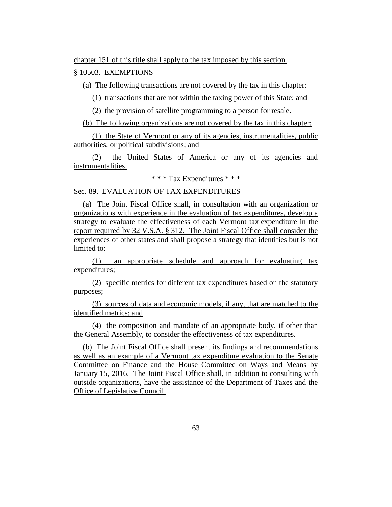chapter 151 of this title shall apply to the tax imposed by this section.

### § 10503. EXEMPTIONS

(a) The following transactions are not covered by the tax in this chapter:

(1) transactions that are not within the taxing power of this State; and

(2) the provision of satellite programming to a person for resale.

(b) The following organizations are not covered by the tax in this chapter:

(1) the State of Vermont or any of its agencies, instrumentalities, public authorities, or political subdivisions; and

(2) the United States of America or any of its agencies and instrumentalities.

\* \* \* Tax Expenditures \* \* \*

#### Sec. 89. EVALUATION OF TAX EXPENDITURES

(a) The Joint Fiscal Office shall, in consultation with an organization or organizations with experience in the evaluation of tax expenditures, develop a strategy to evaluate the effectiveness of each Vermont tax expenditure in the report required by 32 V.S.A. § 312. The Joint Fiscal Office shall consider the experiences of other states and shall propose a strategy that identifies but is not limited to:

(1) an appropriate schedule and approach for evaluating tax expenditures;

(2) specific metrics for different tax expenditures based on the statutory purposes;

(3) sources of data and economic models, if any, that are matched to the identified metrics; and

(4) the composition and mandate of an appropriate body, if other than the General Assembly, to consider the effectiveness of tax expenditures.

(b) The Joint Fiscal Office shall present its findings and recommendations as well as an example of a Vermont tax expenditure evaluation to the Senate Committee on Finance and the House Committee on Ways and Means by January 15, 2016. The Joint Fiscal Office shall, in addition to consulting with outside organizations, have the assistance of the Department of Taxes and the Office of Legislative Council.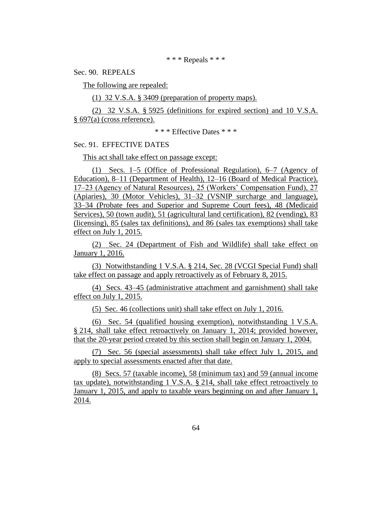#### \* \* \* Repeals \* \* \*

Sec. 90. REPEALS

The following are repealed:

(1) 32 V.S.A. § 3409 (preparation of property maps).

(2) 32 V.S.A. § 5925 (definitions for expired section) and 10 V.S.A. § 697(a) (cross reference).

\* \* \* Effective Dates \* \* \*

Sec. 91. EFFECTIVE DATES

This act shall take effect on passage except:

(1) Secs. 1–5 (Office of Professional Regulation), 6–7 (Agency of Education), 8–11 (Department of Health), 12–16 (Board of Medical Practice), 17–23 (Agency of Natural Resources), 25 (Workers' Compensation Fund), 27 (Apiaries), 30 (Motor Vehicles), 31–32 (VSNIP surcharge and language), 33–34 (Probate fees and Superior and Supreme Court fees), 48 (Medicaid Services), 50 (town audit), 51 (agricultural land certification), 82 (vending), 83 (licensing), 85 (sales tax definitions), and 86 (sales tax exemptions) shall take effect on July 1, 2015.

(2) Sec. 24 (Department of Fish and Wildlife) shall take effect on January 1, 2016.

(3) Notwithstanding 1 V.S.A. § 214, Sec. 28 (VCGI Special Fund) shall take effect on passage and apply retroactively as of February 8, 2015.

(4) Secs. 43–45 (administrative attachment and garnishment) shall take effect on July 1, 2015.

(5) Sec. 46 (collections unit) shall take effect on July 1, 2016.

(6) Sec. 54 (qualified housing exemption), notwithstanding 1 V.S.A. § 214, shall take effect retroactively on January 1, 2014; provided however, that the 20-year period created by this section shall begin on January 1, 2004.

(7) Sec. 56 (special assessments) shall take effect July 1, 2015, and apply to special assessments enacted after that date.

(8) Secs. 57 (taxable income), 58 (minimum tax) and 59 (annual income tax update), notwithstanding 1 V.S.A. § 214, shall take effect retroactively to January 1, 2015, and apply to taxable years beginning on and after January 1, 2014.